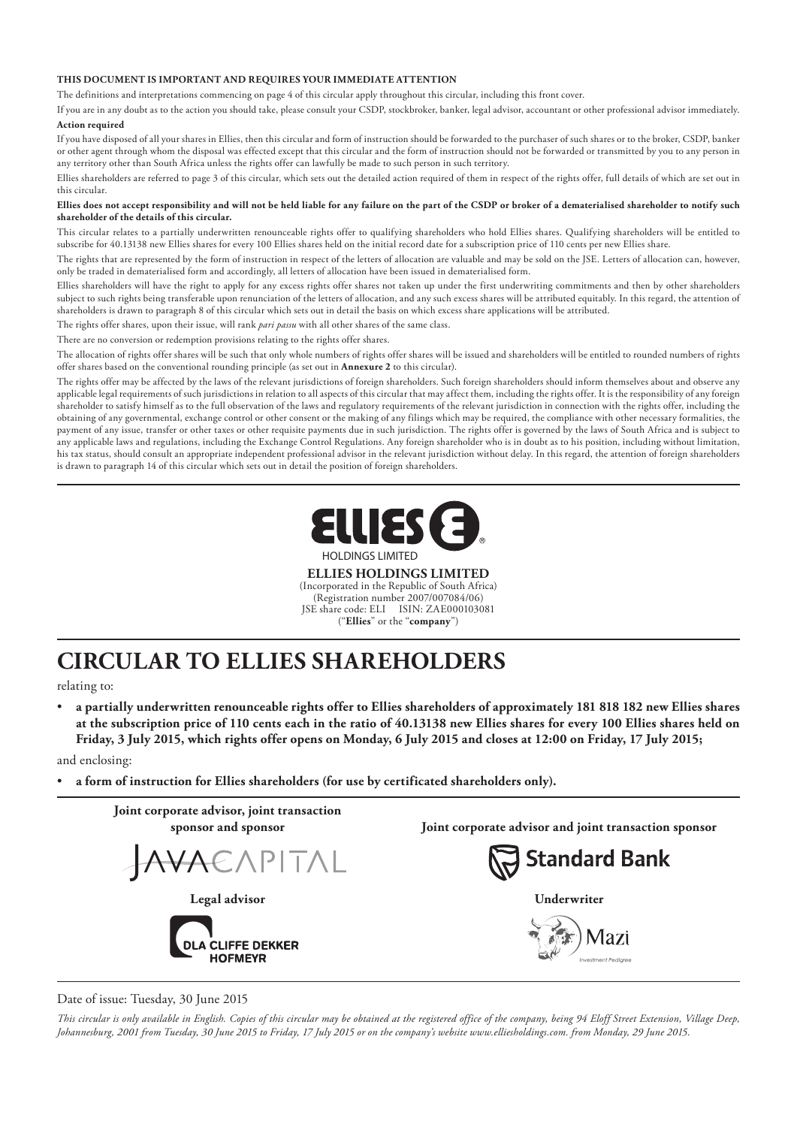#### **THIS DOCUMENT IS IMPORTANT AND REQUIRES YOUR IMMEDIATE ATTENTION**

The definitions and interpretations commencing on page 4 of this circular apply throughout this circular, including this front cover.

If you are in any doubt as to the action you should take, please consult your CSDP, stockbroker, banker, legal advisor, accountant or other professional advisor immediately. **Action required**

If you have disposed of all your shares in Ellies, then this circular and form of instruction should be forwarded to the purchaser of such shares or to the broker, CSDP, banker or other agent through whom the disposal was effected except that this circular and the form of instruction should not be forwarded or transmitted by you to any person in any territory other than South Africa unless the rights offer can lawfully be made to such person in such territory.

Ellies shareholders are referred to page 3 of this circular, which sets out the detailed action required of them in respect of the rights offer, full details of which are set out in this circular.

#### **Ellies does not accept responsibility and will not be held liable for any failure on the part of the CSDP or broker of a dematerialised shareholder to notify such shareholder of the details of this circular.**

This circular relates to a partially underwritten renounceable rights offer to qualifying shareholders who hold Ellies shares. Qualifying shareholders will be entitled to subscribe for 40.13138 new Ellies shares for every 100 Ellies shares held on the initial record date for a subscription price of 110 cents per new Ellies share.

The rights that are represented by the form of instruction in respect of the letters of allocation are valuable and may be sold on the JSE. Letters of allocation can, however, only be traded in dematerialised form and accordingly, all letters of allocation have been issued in dematerialised form.

Ellies shareholders will have the right to apply for any excess rights offer shares not taken up under the first underwriting commitments and then by other shareholders subject to such rights being transferable upon renunciation of the letters of allocation, and any such excess shares will be attributed equitably. In this regard, the attention of shareholders is drawn to paragraph 8 of this circular which sets out in detail the basis on which excess share applications will be attributed.

The rights offer shares, upon their issue, will rank *pari passu* with all other shares of the same class.

There are no conversion or redemption provisions relating to the rights offer shares.

The allocation of rights offer shares will be such that only whole numbers of rights offer shares will be issued and shareholders will be entitled to rounded numbers of rights offer shares based on the conventional rounding principle (as set out in **Annexure 2** to this circular).

The rights offer may be affected by the laws of the relevant jurisdictions of foreign shareholders. Such foreign shareholders should inform themselves about and observe any applicable legal requirements of such jurisdictions in relation to all aspects of this circular that may affect them, including the rights offer. It is the responsibility of any foreign shareholder to satisfy himself as to the full observation of the laws and regulatory requirements of the relevant jurisdiction in connection with the rights offer, including the obtaining of any governmental, exchange control or other consent or the making of any filings which may be required, the compliance with other necessary formalities, the payment of any issue, transfer or other taxes or other requisite payments due in such jurisdiction. The rights offer is governed by the laws of South Africa and is subject to any applicable laws and regulations, including the Exchange Control Regulations. Any foreign shareholder who is in doubt as to his position, including without limitation, his tax status, should consult an appropriate independent professional advisor in the relevant jurisdiction without delay. In this regard, the attention of foreign shareholders is drawn to paragraph 14 of this circular which sets out in detail the position of foreign shareholders.



**ELLIES HOLDINGS LIMITED**

(Incorporated in the Republic of South Africa) (Registration number 2007/007084/06) JSE share code: ELI ISIN: ZAE000103081 ("**Ellies**" or the "**company**")

# **CIRCULAR TO ELLIES SHAREHOLDERS**

relating to:

• **a partially underwritten renounceable rights offer to Ellies shareholders of approximately 181 818 182 new Ellies shares at the subscription price of 110 cents each in the ratio of 40.13138 new Ellies shares for every 100 Ellies shares held on Friday, 3 July 2015, which rights offer opens on Monday, 6 July 2015 and closes at 12:00 on Friday, 17 July 2015;**

and enclosing:

• **a form of instruction for Ellies shareholders (for use by certificated shareholders only).**



Date of issue: Tuesday, 30 June 2015

*This circular is only available in English. Copies of this circular may be obtained at the registered office of the company, being 94 Eloff Street Extension, Village Deep, Johannesburg, 2001 from Tuesday, 30 June 2015 to Friday, 17 July 2015 or on the company's website www.elliesholdings.com. from Monday, 29 June 2015.*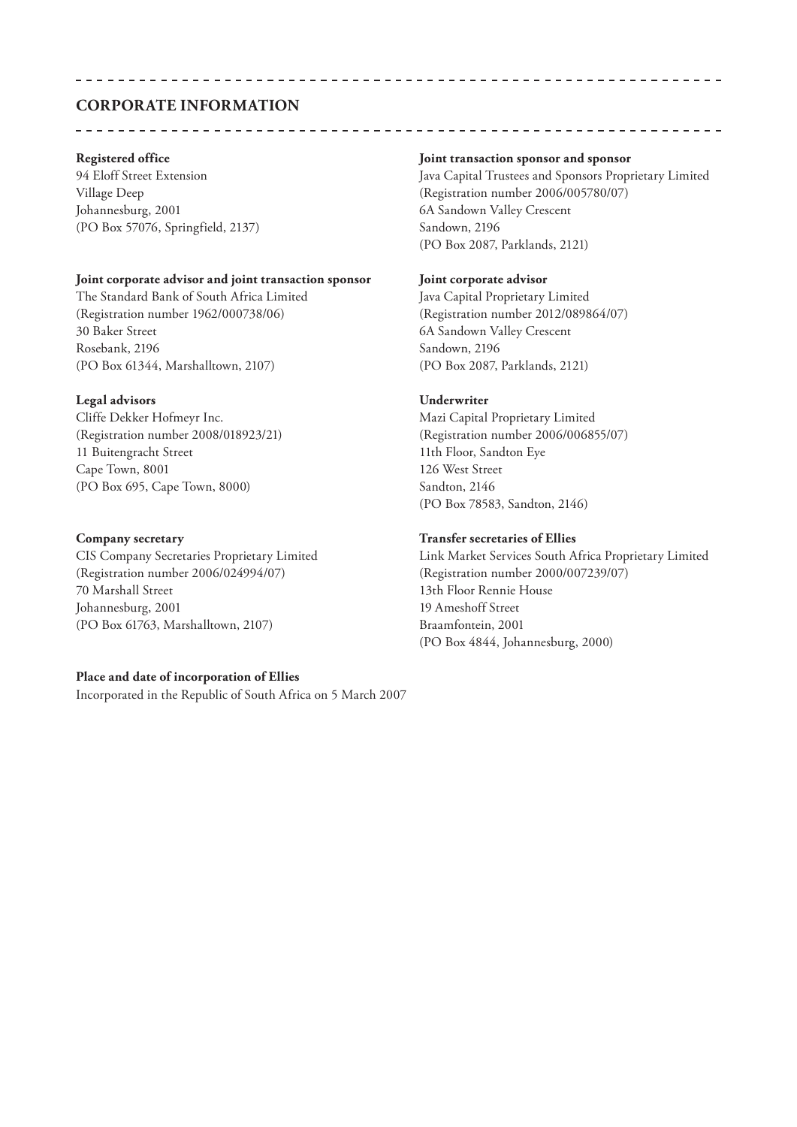## **CORPORATE INFORMATION**

Johannesburg, 2001 6A Sandown Valley Crescent (PO Box 57076, Springfield, 2137) Sandown, 2196

#### **Joint corporate advisor and joint transaction sponsor Joint corporate advisor**

The Standard Bank of South Africa Limited Java Capital Proprietary Limited (Registration number 1962/000738/06) (Registration number 2012/089864/07) 30 Baker Street 6A Sandown Valley Crescent Rosebank, 2196 Sandown, 2196 (PO Box 61344, Marshalltown, 2107) (PO Box 2087, Parklands, 2121)

#### **Legal advisors Underwriter**

Cliffe Dekker Hofmeyr Inc. Mazi Capital Proprietary Limited 11 Buitengracht Street 11th Floor, Sandton Eye Cape Town, 8001 126 West Street (PO Box 695, Cape Town, 8000) Sandton, 2146

(Registration number 2006/024994/07) (Registration number 2000/007239/07) 70 Marshall Street 13th Floor Rennie House Johannesburg, 2001 19 Ameshoff Street (PO Box 61763, Marshalltown, 2107) Braamfontein, 2001

#### **Place and date of incorporation of Ellies**

Incorporated in the Republic of South Africa on 5 March 2007

#### **Registered office Joint transaction sponsor and sponsor**

94 Eloff Street Extension Java Capital Trustees and Sponsors Proprietary Limited Village Deep (Registration number 2006/005780/07) (PO Box 2087, Parklands, 2121)

\_\_\_\_\_\_\_\_\_\_\_\_\_\_\_\_\_\_\_\_\_

(Registration number 2008/018923/21) (Registration number 2006/006855/07) (PO Box 78583, Sandton, 2146)

#### **Company secretary Transfer secretaries of Ellies**

CIS Company Secretaries Proprietary Limited Link Market Services South Africa Proprietary Limited (PO Box 4844, Johannesburg, 2000)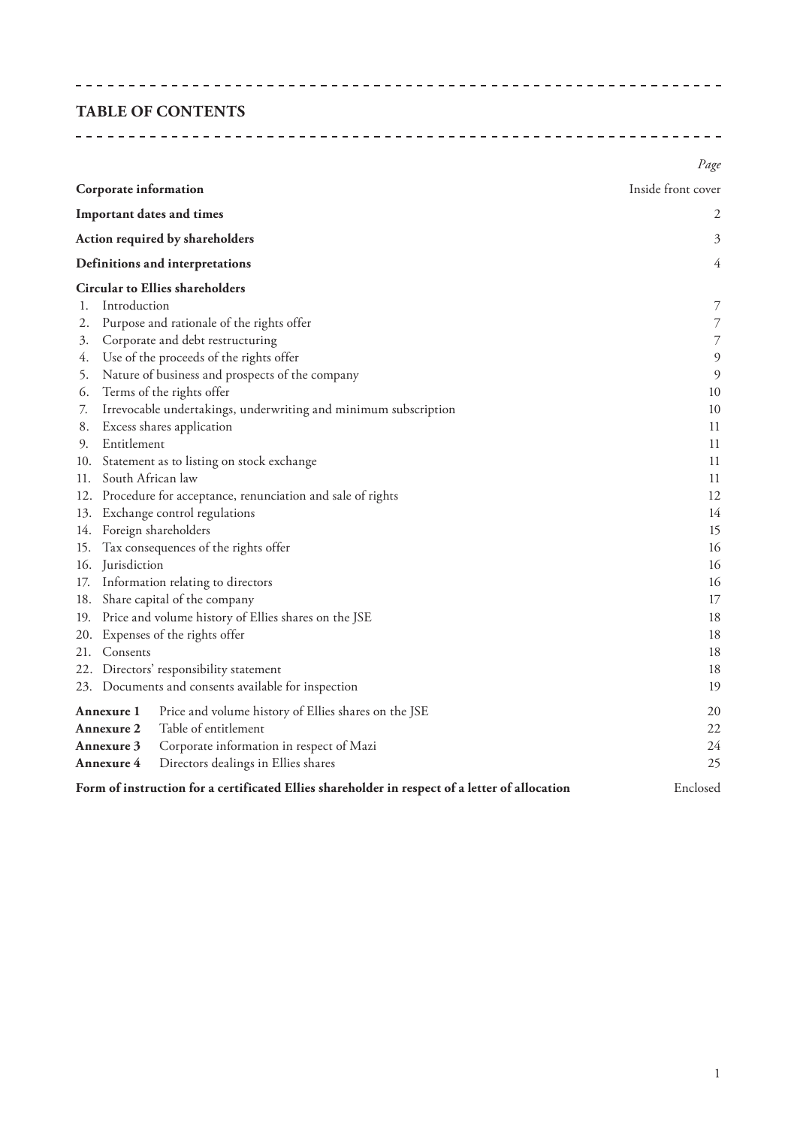### **TABLE OF CONTENTS**

|                                                                                                | Page               |  |  |  |  |
|------------------------------------------------------------------------------------------------|--------------------|--|--|--|--|
| Corporate information                                                                          | Inside front cover |  |  |  |  |
| Important dates and times                                                                      | 2                  |  |  |  |  |
| Action required by shareholders                                                                | 3                  |  |  |  |  |
| Definitions and interpretations                                                                | 4                  |  |  |  |  |
| <b>Circular to Ellies shareholders</b>                                                         |                    |  |  |  |  |
| Introduction<br>1.                                                                             | 7                  |  |  |  |  |
| Purpose and rationale of the rights offer<br>2.                                                | $\overline{7}$     |  |  |  |  |
| Corporate and debt restructuring<br>3.                                                         | $\overline{7}$     |  |  |  |  |
| Use of the proceeds of the rights offer<br>4.                                                  | $\overline{9}$     |  |  |  |  |
| Nature of business and prospects of the company<br>5.                                          | $\overline{9}$     |  |  |  |  |
| Terms of the rights offer<br>6.                                                                | 10                 |  |  |  |  |
| Irrevocable undertakings, underwriting and minimum subscription<br>7.                          | 10                 |  |  |  |  |
| Excess shares application<br>8.                                                                | 11                 |  |  |  |  |
| Entitlement<br>9.                                                                              | 11                 |  |  |  |  |
| 10. Statement as to listing on stock exchange                                                  | 11                 |  |  |  |  |
| 11. South African law                                                                          | 11                 |  |  |  |  |
| 12. Procedure for acceptance, renunciation and sale of rights                                  |                    |  |  |  |  |
| 13. Exchange control regulations                                                               | 14                 |  |  |  |  |
| 14. Foreign shareholders                                                                       | 15                 |  |  |  |  |
| 15. Tax consequences of the rights offer                                                       |                    |  |  |  |  |
| 16. Jurisdiction                                                                               |                    |  |  |  |  |
| 17. Information relating to directors                                                          | 16                 |  |  |  |  |
| 18. Share capital of the company                                                               | 17                 |  |  |  |  |
| 19. Price and volume history of Ellies shares on the JSE                                       | 18                 |  |  |  |  |
| 20. Expenses of the rights offer                                                               | 18                 |  |  |  |  |
| 21. Consents                                                                                   | 18                 |  |  |  |  |
| 22. Directors' responsibility statement                                                        | 18                 |  |  |  |  |
| 23. Documents and consents available for inspection                                            | 19                 |  |  |  |  |
| Annexure 1<br>Price and volume history of Ellies shares on the JSE                             | 20                 |  |  |  |  |
| Table of entitlement<br>22<br><b>Annexure 2</b>                                                |                    |  |  |  |  |
| Corporate information in respect of Mazi<br>24<br>Annexure 3                                   |                    |  |  |  |  |
| Directors dealings in Ellies shares<br>Annexure 4                                              | 25                 |  |  |  |  |
| Form of instruction for a certificated Ellies shareholder in respect of a letter of allocation | Enclosed           |  |  |  |  |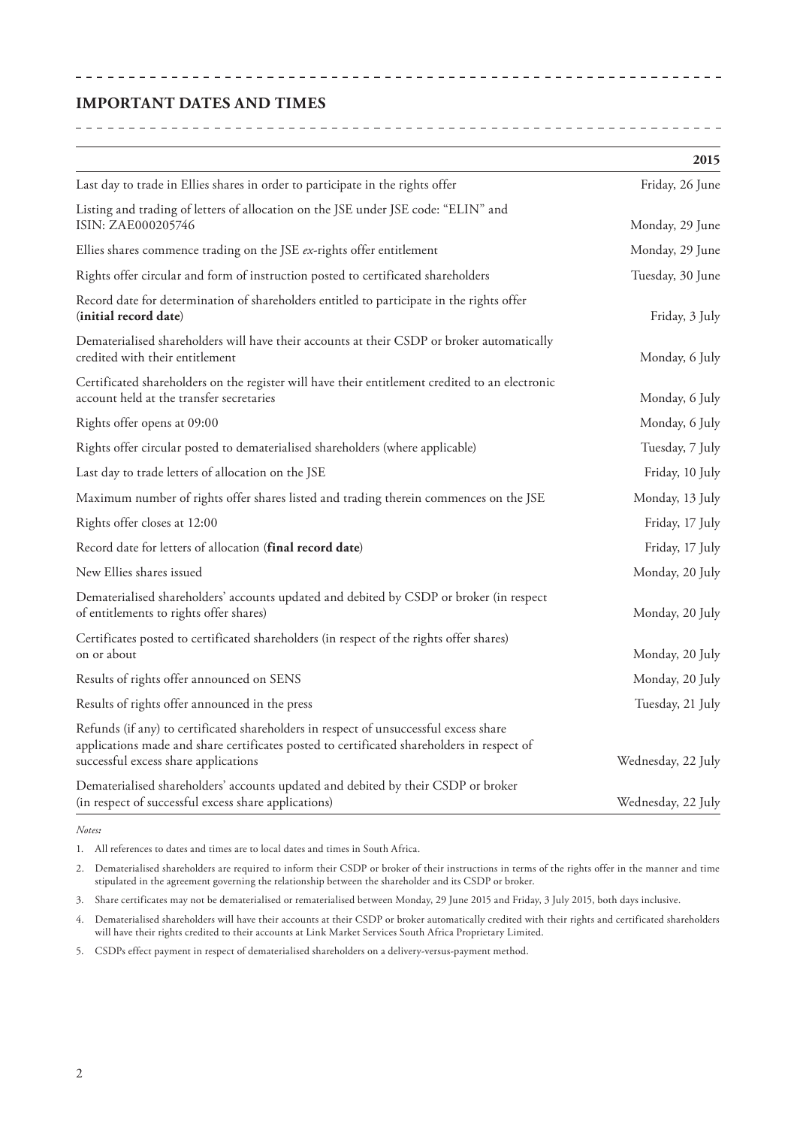## **IMPORTANT DATES AND TIMES**

|                                                                                                                                                                                                                             | 2015               |
|-----------------------------------------------------------------------------------------------------------------------------------------------------------------------------------------------------------------------------|--------------------|
| Last day to trade in Ellies shares in order to participate in the rights offer                                                                                                                                              | Friday, 26 June    |
| Listing and trading of letters of allocation on the JSE under JSE code: "ELIN" and<br>ISIN: ZAE000205746                                                                                                                    | Monday, 29 June    |
| Ellies shares commence trading on the JSE ex-rights offer entitlement                                                                                                                                                       | Monday, 29 June    |
| Rights offer circular and form of instruction posted to certificated shareholders                                                                                                                                           | Tuesday, 30 June   |
| Record date for determination of shareholders entitled to participate in the rights offer<br>(initial record date)                                                                                                          | Friday, 3 July     |
| Dematerialised shareholders will have their accounts at their CSDP or broker automatically<br>credited with their entitlement                                                                                               | Monday, 6 July     |
| Certificated shareholders on the register will have their entitlement credited to an electronic<br>account held at the transfer secretaries                                                                                 | Monday, 6 July     |
| Rights offer opens at 09:00                                                                                                                                                                                                 | Monday, 6 July     |
| Rights offer circular posted to dematerialised shareholders (where applicable)                                                                                                                                              | Tuesday, 7 July    |
| Last day to trade letters of allocation on the JSE                                                                                                                                                                          | Friday, 10 July    |
| Maximum number of rights offer shares listed and trading therein commences on the JSE                                                                                                                                       | Monday, 13 July    |
| Rights offer closes at 12:00                                                                                                                                                                                                | Friday, 17 July    |
| Record date for letters of allocation (final record date)                                                                                                                                                                   | Friday, 17 July    |
| New Ellies shares issued                                                                                                                                                                                                    | Monday, 20 July    |
| Dematerialised shareholders' accounts updated and debited by CSDP or broker (in respect<br>of entitlements to rights offer shares)                                                                                          | Monday, 20 July    |
| Certificates posted to certificated shareholders (in respect of the rights offer shares)<br>on or about                                                                                                                     | Monday, 20 July    |
| Results of rights offer announced on SENS                                                                                                                                                                                   | Monday, 20 July    |
| Results of rights offer announced in the press                                                                                                                                                                              | Tuesday, 21 July   |
| Refunds (if any) to certificated shareholders in respect of unsuccessful excess share<br>applications made and share certificates posted to certificated shareholders in respect of<br>successful excess share applications | Wednesday, 22 July |
| Dematerialised shareholders' accounts updated and debited by their CSDP or broker<br>(in respect of successful excess share applications)                                                                                   | Wednesday, 22 July |

*Notes:*

1. All references to dates and times are to local dates and times in South Africa.

2. Dematerialised shareholders are required to inform their CSDP or broker of their instructions in terms of the rights offer in the manner and time stipulated in the agreement governing the relationship between the shareholder and its CSDP or broker.

3. Share certificates may not be dematerialised or rematerialised between Monday, 29 June 2015 and Friday, 3 July 2015, both days inclusive.

4. Dematerialised shareholders will have their accounts at their CSDP or broker automatically credited with their rights and certificated shareholders will have their rights credited to their accounts at Link Market Services South Africa Proprietary Limited.

5. CSDPs effect payment in respect of dematerialised shareholders on a delivery-versus-payment method.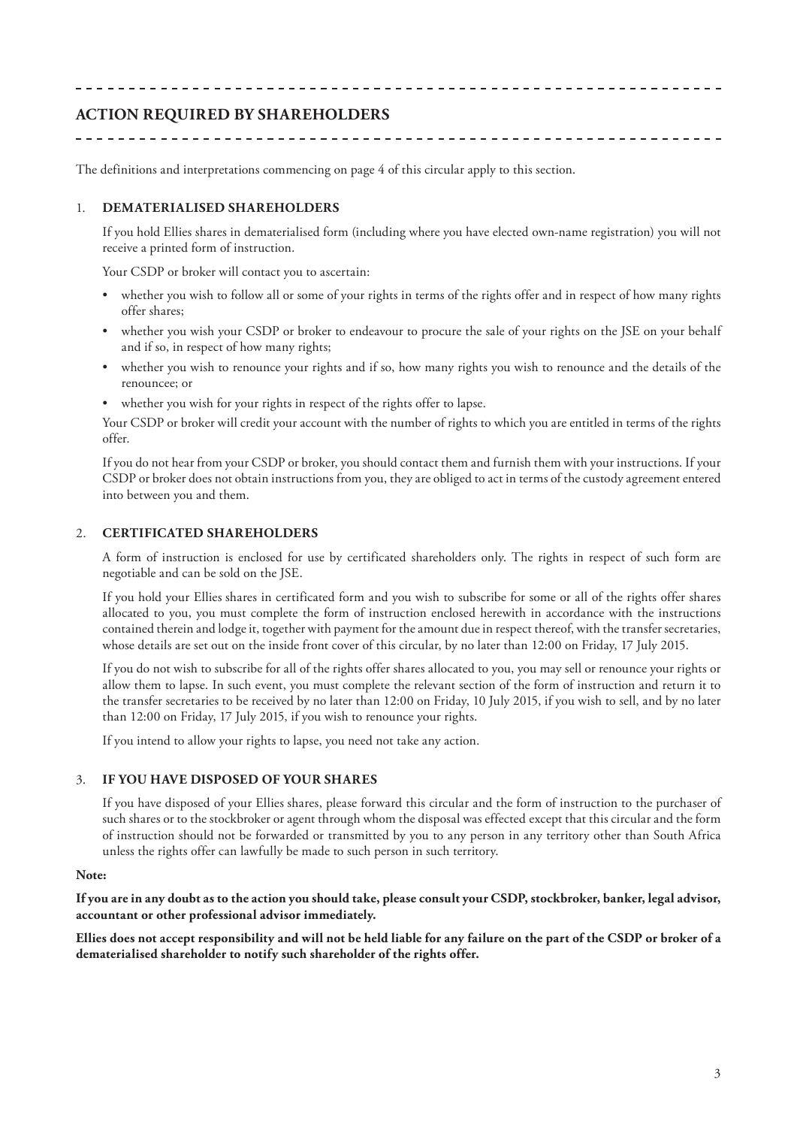## **ACTION REQUIRED BY SHAREHOLDERS**

\_\_\_\_\_\_\_\_\_\_\_\_\_\_\_\_\_\_\_\_\_

The definitions and interpretations commencing on page 4 of this circular apply to this section.

#### 1. **DEMATERIALISED SHAREHOLDERS**

If you hold Ellies shares in dematerialised form (including where you have elected own-name registration) you will not receive a printed form of instruction.

\_\_\_\_\_\_\_\_\_\_\_\_\_\_\_\_\_\_\_\_\_\_\_\_\_\_\_\_\_\_\_\_\_\_

Your CSDP or broker will contact you to ascertain:

- whether you wish to follow all or some of your rights in terms of the rights offer and in respect of how many rights offer shares;
- whether you wish your CSDP or broker to endeavour to procure the sale of your rights on the JSE on your behalf and if so, in respect of how many rights;
- whether you wish to renounce your rights and if so, how many rights you wish to renounce and the details of the renouncee; or
- whether you wish for your rights in respect of the rights offer to lapse.

Your CSDP or broker will credit your account with the number of rights to which you are entitled in terms of the rights offer.

If you do not hear from your CSDP or broker, you should contact them and furnish them with your instructions. If your CSDP or broker does not obtain instructions from you, they are obliged to act in terms of the custody agreement entered into between you and them.

#### 2. **CERTIFICATED SHAREHOLDERS**

A form of instruction is enclosed for use by certificated shareholders only. The rights in respect of such form are negotiable and can be sold on the JSE.

If you hold your Ellies shares in certificated form and you wish to subscribe for some or all of the rights offer shares allocated to you, you must complete the form of instruction enclosed herewith in accordance with the instructions contained therein and lodge it, together with payment for the amount due in respect thereof, with the transfer secretaries, whose details are set out on the inside front cover of this circular, by no later than 12:00 on Friday, 17 July 2015.

If you do not wish to subscribe for all of the rights offer shares allocated to you, you may sell or renounce your rights or allow them to lapse. In such event, you must complete the relevant section of the form of instruction and return it to the transfer secretaries to be received by no later than 12:00 on Friday, 10 July 2015, if you wish to sell, and by no later than 12:00 on Friday, 17 July 2015, if you wish to renounce your rights.

If you intend to allow your rights to lapse, you need not take any action.

#### 3. **IF YOU HAVE DISPOSED OF YOUR SHARES**

If you have disposed of your Ellies shares, please forward this circular and the form of instruction to the purchaser of such shares or to the stockbroker or agent through whom the disposal was effected except that this circular and the form of instruction should not be forwarded or transmitted by you to any person in any territory other than South Africa unless the rights offer can lawfully be made to such person in such territory.

#### **Note:**

**If you are in any doubt as to the action you should take, please consult your CSDP, stockbroker, banker, legal advisor, accountant or other professional advisor immediately.**

**Ellies does not accept responsibility and will not be held liable for any failure on the part of the CSDP or broker of a dematerialised shareholder to notify such shareholder of the rights offer.**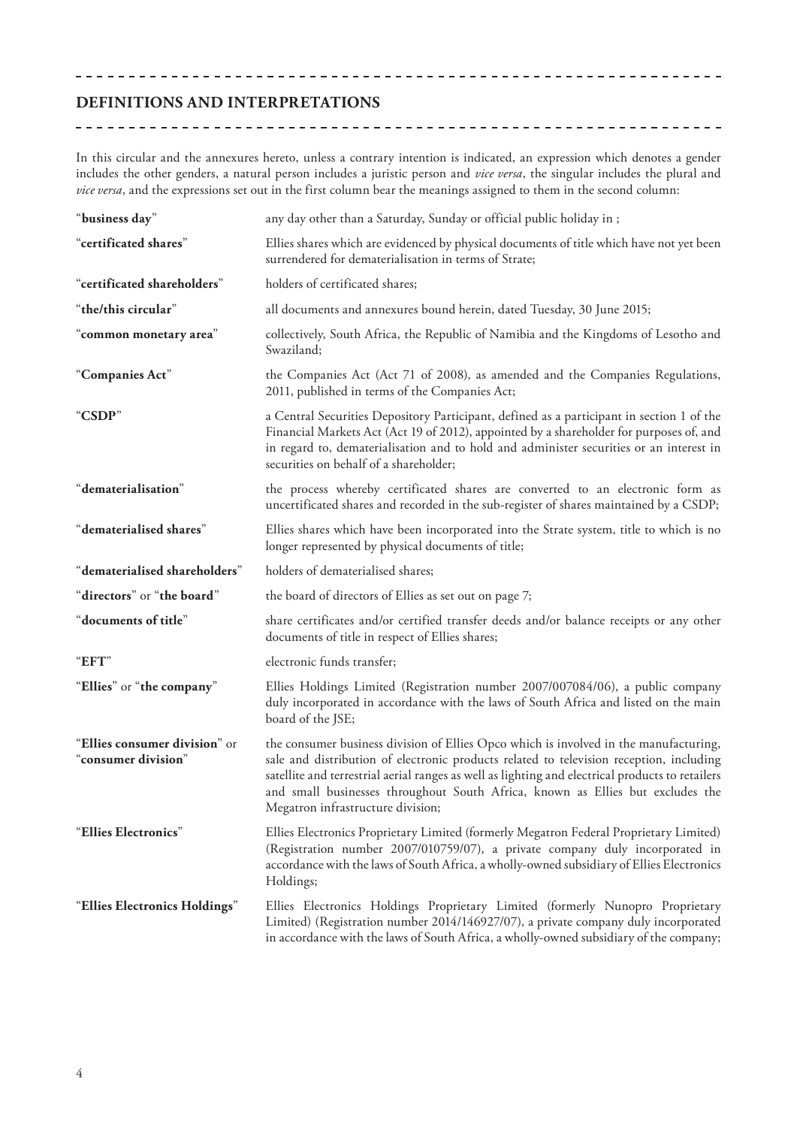### **DEFINITIONS AND INTERPRETATIONS**

In this circular and the annexures hereto, unless a contrary intention is indicated, an expression which denotes a gender includes the other genders, a natural person includes a juristic person and *vice versa*, the singular includes the plural and *vice versa*, and the expressions set out in the first column bear the meanings assigned to them in the second column:

| "business day"                                       | any day other than a Saturday, Sunday or official public holiday in ;                                                                                                                                                                                                                                                                                                                                       |  |  |
|------------------------------------------------------|-------------------------------------------------------------------------------------------------------------------------------------------------------------------------------------------------------------------------------------------------------------------------------------------------------------------------------------------------------------------------------------------------------------|--|--|
| "certificated shares"                                | Ellies shares which are evidenced by physical documents of title which have not yet been<br>surrendered for dematerialisation in terms of Strate;                                                                                                                                                                                                                                                           |  |  |
| "certificated shareholders"                          | holders of certificated shares;                                                                                                                                                                                                                                                                                                                                                                             |  |  |
| "the/this circular"                                  | all documents and annexures bound herein, dated Tuesday, 30 June 2015;                                                                                                                                                                                                                                                                                                                                      |  |  |
| "common monetary area"                               | collectively, South Africa, the Republic of Namibia and the Kingdoms of Lesotho and<br>Swaziland;                                                                                                                                                                                                                                                                                                           |  |  |
| "Companies Act"                                      | the Companies Act (Act 71 of 2008), as amended and the Companies Regulations,<br>2011, published in terms of the Companies Act;                                                                                                                                                                                                                                                                             |  |  |
| "CSDP"                                               | a Central Securities Depository Participant, defined as a participant in section 1 of the<br>Financial Markets Act (Act 19 of 2012), appointed by a shareholder for purposes of, and<br>in regard to, dematerialisation and to hold and administer securities or an interest in<br>securities on behalf of a shareholder;                                                                                   |  |  |
| "dematerialisation"                                  | the process whereby certificated shares are converted to an electronic form as<br>uncertificated shares and recorded in the sub-register of shares maintained by a CSDP;                                                                                                                                                                                                                                    |  |  |
| "dematerialised shares"                              | Ellies shares which have been incorporated into the Strate system, title to which is no<br>longer represented by physical documents of title;                                                                                                                                                                                                                                                               |  |  |
| "dematerialised shareholders"                        | holders of dematerialised shares;                                                                                                                                                                                                                                                                                                                                                                           |  |  |
| "directors" or "the board"                           | the board of directors of Ellies as set out on page 7;                                                                                                                                                                                                                                                                                                                                                      |  |  |
| "documents of title"                                 | share certificates and/or certified transfer deeds and/or balance receipts or any other<br>documents of title in respect of Ellies shares;                                                                                                                                                                                                                                                                  |  |  |
| "EFT"                                                | electronic funds transfer;                                                                                                                                                                                                                                                                                                                                                                                  |  |  |
| "Ellies" or "the company"                            | Ellies Holdings Limited (Registration number 2007/007084/06), a public company<br>duly incorporated in accordance with the laws of South Africa and listed on the main<br>board of the JSE;                                                                                                                                                                                                                 |  |  |
| "Ellies consumer division" or<br>"consumer division" | the consumer business division of Ellies Opco which is involved in the manufacturing,<br>sale and distribution of electronic products related to television reception, including<br>satellite and terrestrial aerial ranges as well as lighting and electrical products to retailers<br>and small businesses throughout South Africa, known as Ellies but excludes the<br>Megatron infrastructure division; |  |  |
| "Ellies Electronics"                                 | Ellies Electronics Proprietary Limited (formerly Megatron Federal Proprietary Limited)<br>(Registration number 2007/010759/07), a private company duly incorporated in<br>accordance with the laws of South Africa, a wholly-owned subsidiary of Ellies Electronics<br>Holdings;                                                                                                                            |  |  |
| "Ellies Electronics Holdings"                        | Ellies Electronics Holdings Proprietary Limited (formerly Nunopro Proprietary<br>Limited) (Registration number 2014/146927/07), a private company duly incorporated<br>in accordance with the laws of South Africa, a wholly-owned subsidiary of the company;                                                                                                                                               |  |  |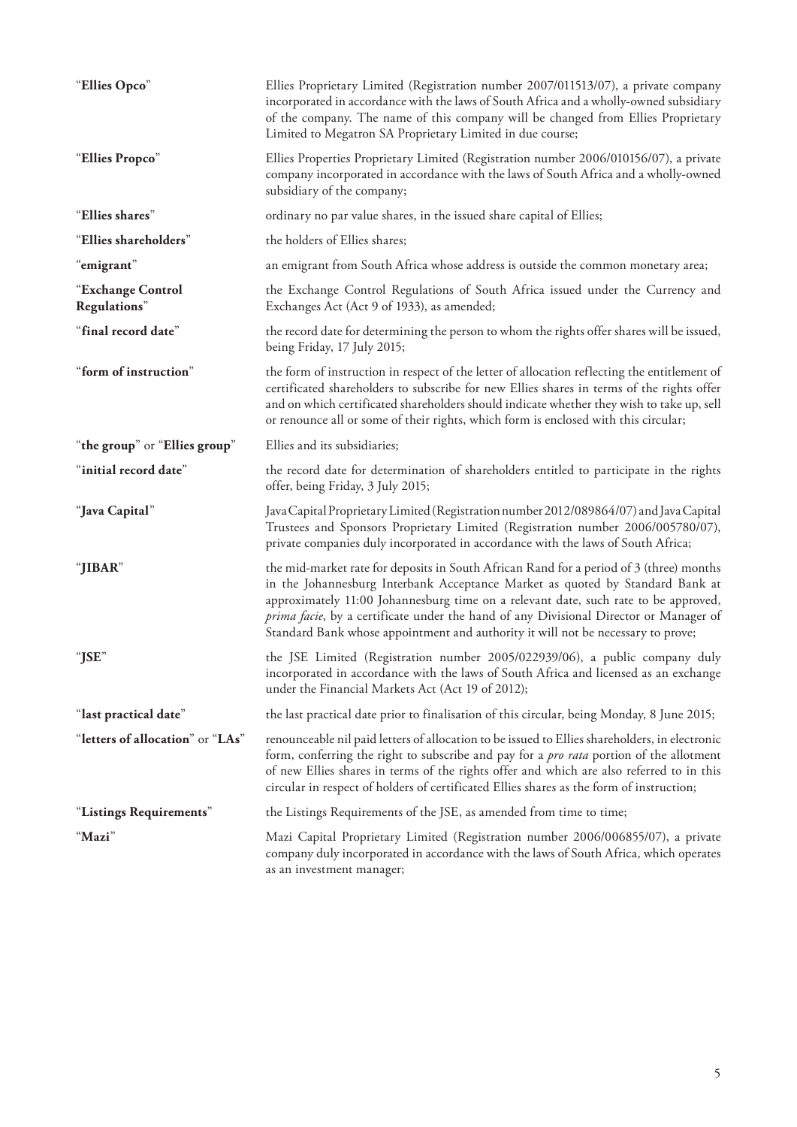| "Ellies Opco"                     | Ellies Proprietary Limited (Registration number 2007/011513/07), a private company<br>incorporated in accordance with the laws of South Africa and a wholly-owned subsidiary<br>of the company. The name of this company will be changed from Ellies Proprietary<br>Limited to Megatron SA Proprietary Limited in due course;                                                                                                                |  |
|-----------------------------------|----------------------------------------------------------------------------------------------------------------------------------------------------------------------------------------------------------------------------------------------------------------------------------------------------------------------------------------------------------------------------------------------------------------------------------------------|--|
| "Ellies Propco"                   | Ellies Properties Proprietary Limited (Registration number 2006/010156/07), a private<br>company incorporated in accordance with the laws of South Africa and a wholly-owned<br>subsidiary of the company;                                                                                                                                                                                                                                   |  |
| "Ellies shares"                   | ordinary no par value shares, in the issued share capital of Ellies;                                                                                                                                                                                                                                                                                                                                                                         |  |
| "Ellies shareholders"             | the holders of Ellies shares;                                                                                                                                                                                                                                                                                                                                                                                                                |  |
| "emigrant"                        | an emigrant from South Africa whose address is outside the common monetary area;                                                                                                                                                                                                                                                                                                                                                             |  |
| "Exchange Control<br>Regulations" | the Exchange Control Regulations of South Africa issued under the Currency and<br>Exchanges Act (Act 9 of 1933), as amended;                                                                                                                                                                                                                                                                                                                 |  |
| "final record date"               | the record date for determining the person to whom the rights offer shares will be issued,<br>being Friday, 17 July 2015;                                                                                                                                                                                                                                                                                                                    |  |
| "form of instruction"             | the form of instruction in respect of the letter of allocation reflecting the entitlement of<br>certificated shareholders to subscribe for new Ellies shares in terms of the rights offer<br>and on which certificated shareholders should indicate whether they wish to take up, sell<br>or renounce all or some of their rights, which form is enclosed with this circular;                                                                |  |
| "the group" or "Ellies group"     | Ellies and its subsidiaries;                                                                                                                                                                                                                                                                                                                                                                                                                 |  |
| "initial record date"             | the record date for determination of shareholders entitled to participate in the rights<br>offer, being Friday, 3 July 2015;                                                                                                                                                                                                                                                                                                                 |  |
| "Java Capital"                    | Java Capital Proprietary Limited (Registration number 2012/089864/07) and Java Capital<br>Trustees and Sponsors Proprietary Limited (Registration number 2006/005780/07),<br>private companies duly incorporated in accordance with the laws of South Africa;                                                                                                                                                                                |  |
| "JIBAR"                           | the mid-market rate for deposits in South African Rand for a period of 3 (three) months<br>in the Johannesburg Interbank Acceptance Market as quoted by Standard Bank at<br>approximately 11:00 Johannesburg time on a relevant date, such rate to be approved,<br>prima facie, by a certificate under the hand of any Divisional Director or Manager of<br>Standard Bank whose appointment and authority it will not be necessary to prove; |  |
| "JSE"                             | the JSE Limited (Registration number 2005/022939/06), a public company duly<br>incorporated in accordance with the laws of South Africa and licensed as an exchange<br>under the Financial Markets Act (Act 19 of 2012);                                                                                                                                                                                                                     |  |
| "last practical date"             | the last practical date prior to finalisation of this circular, being Monday, 8 June 2015;                                                                                                                                                                                                                                                                                                                                                   |  |
| "letters of allocation" or "LAs"  | renounceable nil paid letters of allocation to be issued to Ellies shareholders, in electronic<br>form, conferring the right to subscribe and pay for a <i>pro rata</i> portion of the allotment<br>of new Ellies shares in terms of the rights offer and which are also referred to in this<br>circular in respect of holders of certificated Ellies shares as the form of instruction;                                                     |  |
| "Listings Requirements"           | the Listings Requirements of the JSE, as amended from time to time;                                                                                                                                                                                                                                                                                                                                                                          |  |
| "Mazi"                            | Mazi Capital Proprietary Limited (Registration number 2006/006855/07), a private<br>company duly incorporated in accordance with the laws of South Africa, which operates<br>as an investment manager;                                                                                                                                                                                                                                       |  |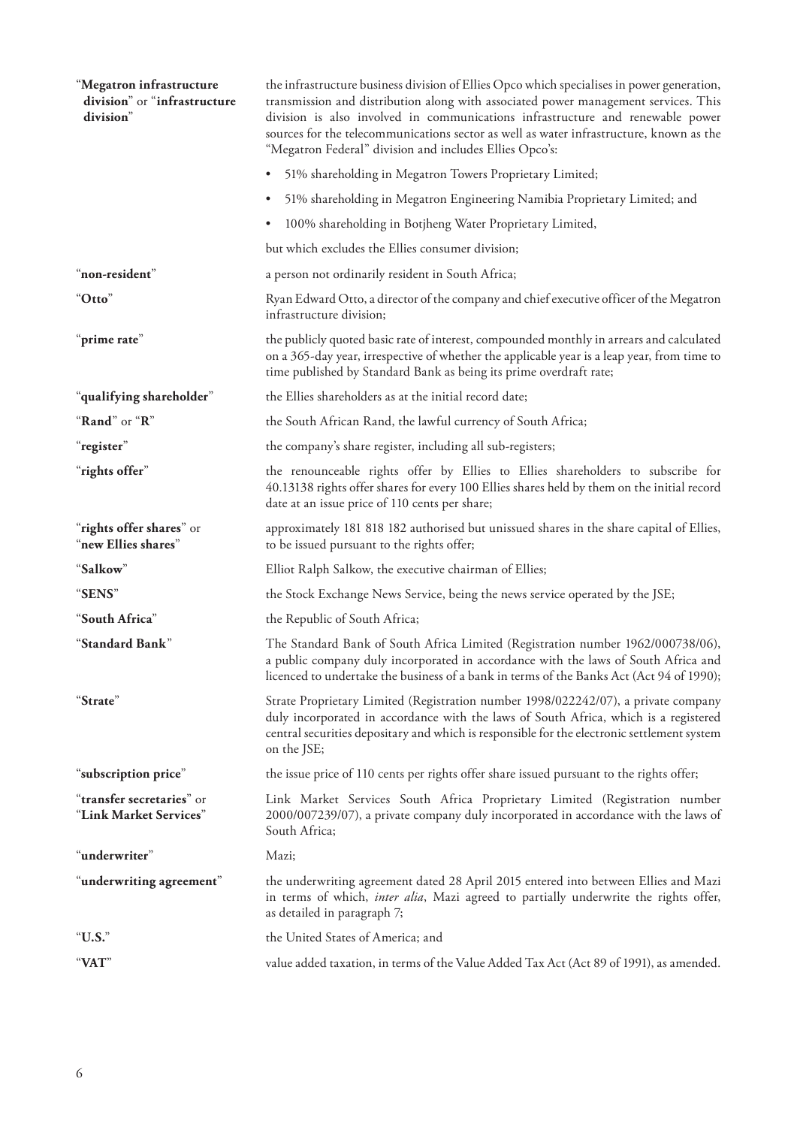| "Megatron infrastructure<br>division" or "infrastructure<br>division" | the infrastructure business division of Ellies Opco which specialises in power generation,<br>transmission and distribution along with associated power management services. This<br>division is also involved in communications infrastructure and renewable power<br>sources for the telecommunications sector as well as water infrastructure, known as the<br>"Megatron Federal" division and includes Ellies Opco's: |  |  |
|-----------------------------------------------------------------------|---------------------------------------------------------------------------------------------------------------------------------------------------------------------------------------------------------------------------------------------------------------------------------------------------------------------------------------------------------------------------------------------------------------------------|--|--|
|                                                                       | 51% shareholding in Megatron Towers Proprietary Limited;                                                                                                                                                                                                                                                                                                                                                                  |  |  |
|                                                                       | 51% shareholding in Megatron Engineering Namibia Proprietary Limited; and<br>$\bullet$                                                                                                                                                                                                                                                                                                                                    |  |  |
|                                                                       | 100% shareholding in Botjheng Water Proprietary Limited,<br>٠                                                                                                                                                                                                                                                                                                                                                             |  |  |
|                                                                       | but which excludes the Ellies consumer division;                                                                                                                                                                                                                                                                                                                                                                          |  |  |
| "non-resident"                                                        | a person not ordinarily resident in South Africa;                                                                                                                                                                                                                                                                                                                                                                         |  |  |
| "Otto"                                                                | Ryan Edward Otto, a director of the company and chief executive officer of the Megatron<br>infrastructure division;                                                                                                                                                                                                                                                                                                       |  |  |
| "prime rate"                                                          | the publicly quoted basic rate of interest, compounded monthly in arrears and calculated<br>on a 365-day year, irrespective of whether the applicable year is a leap year, from time to<br>time published by Standard Bank as being its prime overdraft rate;                                                                                                                                                             |  |  |
| "qualifying shareholder"                                              | the Ellies shareholders as at the initial record date;                                                                                                                                                                                                                                                                                                                                                                    |  |  |
| "Rand" or "R"                                                         | the South African Rand, the lawful currency of South Africa;                                                                                                                                                                                                                                                                                                                                                              |  |  |
| "register"                                                            | the company's share register, including all sub-registers;                                                                                                                                                                                                                                                                                                                                                                |  |  |
| "rights offer"                                                        | the renounceable rights offer by Ellies to Ellies shareholders to subscribe for<br>40.13138 rights offer shares for every 100 Ellies shares held by them on the initial record<br>date at an issue price of 110 cents per share;                                                                                                                                                                                          |  |  |
| "rights offer shares" or<br>"new Ellies shares"                       | approximately 181 818 182 authorised but unissued shares in the share capital of Ellies,<br>to be issued pursuant to the rights offer;                                                                                                                                                                                                                                                                                    |  |  |
| "Salkow"                                                              | Elliot Ralph Salkow, the executive chairman of Ellies;                                                                                                                                                                                                                                                                                                                                                                    |  |  |
| "SENS"                                                                | the Stock Exchange News Service, being the news service operated by the JSE;                                                                                                                                                                                                                                                                                                                                              |  |  |
| "South Africa"                                                        | the Republic of South Africa;                                                                                                                                                                                                                                                                                                                                                                                             |  |  |
| "Standard Bank"                                                       | The Standard Bank of South Africa Limited (Registration number 1962/000738/06),<br>a public company duly incorporated in accordance with the laws of South Africa and<br>licenced to undertake the business of a bank in terms of the Banks Act (Act 94 of 1990);                                                                                                                                                         |  |  |
| "Strate"                                                              | Strate Proprietary Limited (Registration number 1998/022242/07), a private company<br>duly incorporated in accordance with the laws of South Africa, which is a registered<br>central securities depositary and which is responsible for the electronic settlement system<br>on the JSE;                                                                                                                                  |  |  |
| "subscription price"                                                  | the issue price of 110 cents per rights offer share issued pursuant to the rights offer;                                                                                                                                                                                                                                                                                                                                  |  |  |
| "transfer secretaries" or<br>"Link Market Services"                   | Link Market Services South Africa Proprietary Limited (Registration number<br>2000/007239/07), a private company duly incorporated in accordance with the laws of<br>South Africa;                                                                                                                                                                                                                                        |  |  |
| "underwriter"                                                         | Mazi;                                                                                                                                                                                                                                                                                                                                                                                                                     |  |  |
| "underwriting agreement"                                              | the underwriting agreement dated 28 April 2015 entered into between Ellies and Mazi<br>in terms of which, <i>inter alia</i> , Mazi agreed to partially underwrite the rights offer,<br>as detailed in paragraph 7;                                                                                                                                                                                                        |  |  |
| "U.S."                                                                | the United States of America; and                                                                                                                                                                                                                                                                                                                                                                                         |  |  |
| "VAT"                                                                 | value added taxation, in terms of the Value Added Tax Act (Act 89 of 1991), as amended.                                                                                                                                                                                                                                                                                                                                   |  |  |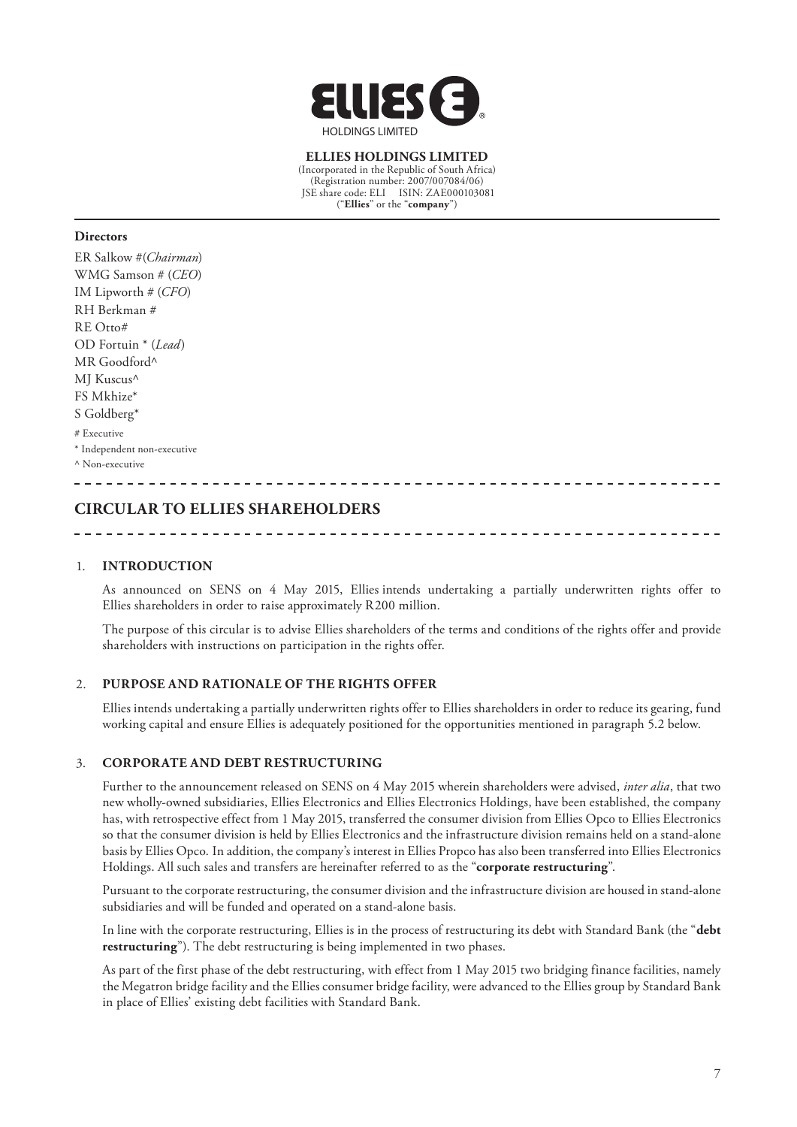

**ELLIES HOLDINGS LIMITED** (Incorporated in the Republic of South Africa) (Registration number: 2007/007084/06) JSE share code: ELI ISIN: ZAE000103081 ("**Ellies**" or the "**company**")

#### **Directors**

- ER Salkow #(*Chairman*) WMG Samson # (*CEO*) IM Lipworth # (*CFO*) RH Berkman # RE Otto# OD Fortuin \* (*Lead*) MR Goodford^ MI Kuscus<sup>^</sup> FS Mkhize\* S Goldberg\* # Executive
- \* Independent non-executive

^ Non-executive

## **CIRCULAR TO ELLIES SHAREHOLDERS**

#### 1. **INTRODUCTION**

As announced on SENS on 4 May 2015, Ellies intends undertaking a partially underwritten rights offer to Ellies shareholders in order to raise approximately R200 million.

The purpose of this circular is to advise Ellies shareholders of the terms and conditions of the rights offer and provide shareholders with instructions on participation in the rights offer.

#### 2. **PURPOSE AND RATIONALE OF THE RIGHTS OFFER**

Ellies intends undertaking a partially underwritten rights offer to Ellies shareholders in order to reduce its gearing, fund working capital and ensure Ellies is adequately positioned for the opportunities mentioned in paragraph 5.2 below.

#### 3. **CORPORATE AND DEBT RESTRUCTURING**

Further to the announcement released on SENS on 4 May 2015 wherein shareholders were advised, *inter alia*, that two new wholly-owned subsidiaries, Ellies Electronics and Ellies Electronics Holdings, have been established, the company has, with retrospective effect from 1 May 2015, transferred the consumer division from Ellies Opco to Ellies Electronics so that the consumer division is held by Ellies Electronics and the infrastructure division remains held on a stand-alone basis by Ellies Opco. In addition, the company's interest in Ellies Propco has also been transferred into Ellies Electronics Holdings. All such sales and transfers are hereinafter referred to as the "**corporate restructuring**".

Pursuant to the corporate restructuring, the consumer division and the infrastructure division are housed in stand-alone subsidiaries and will be funded and operated on a stand-alone basis.

In line with the corporate restructuring, Ellies is in the process of restructuring its debt with Standard Bank (the "**debt restructuring**"). The debt restructuring is being implemented in two phases.

As part of the first phase of the debt restructuring, with effect from 1 May 2015 two bridging finance facilities, namely the Megatron bridge facility and the Ellies consumer bridge facility, were advanced to the Ellies group by Standard Bank in place of Ellies' existing debt facilities with Standard Bank.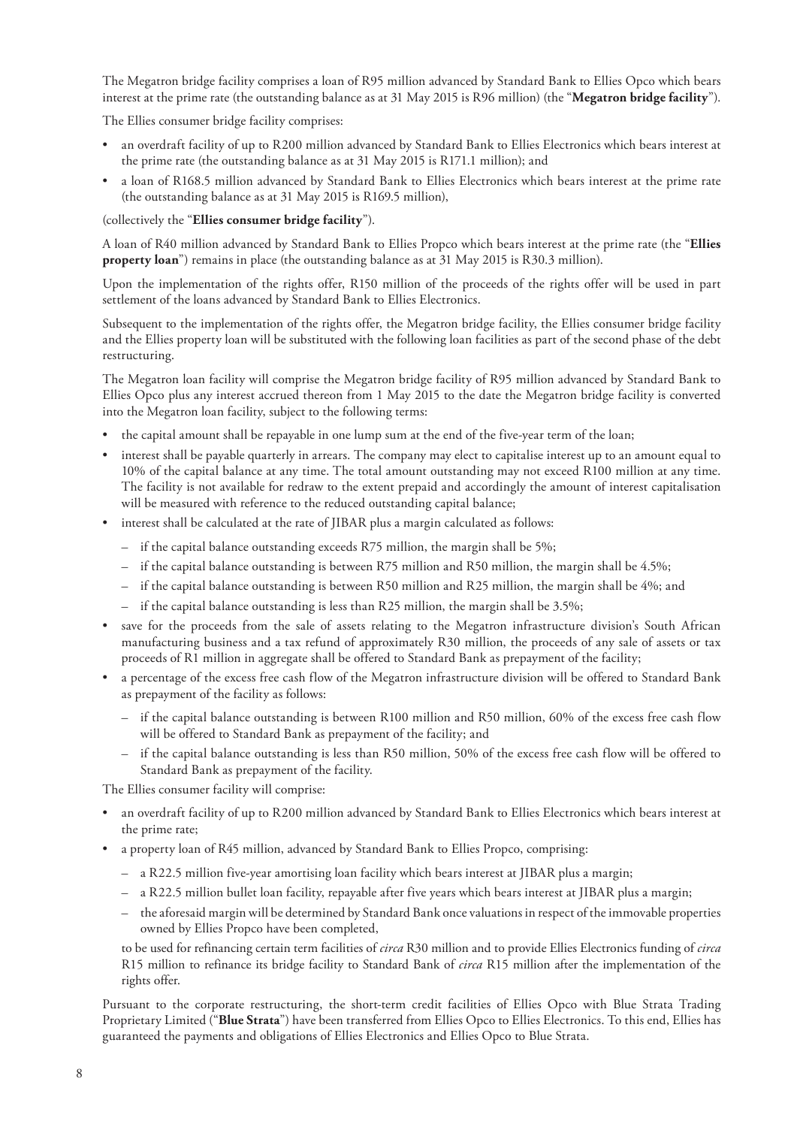The Megatron bridge facility comprises a loan of R95 million advanced by Standard Bank to Ellies Opco which bears interest at the prime rate (the outstanding balance as at 31 May 2015 is R96 million) (the "**Megatron bridge facility**").

The Ellies consumer bridge facility comprises:

- an overdraft facility of up to R200 million advanced by Standard Bank to Ellies Electronics which bears interest at the prime rate (the outstanding balance as at 31 May 2015 is R171.1 million); and
- a loan of R168.5 million advanced by Standard Bank to Ellies Electronics which bears interest at the prime rate (the outstanding balance as at 31 May 2015 is R169.5 million),

(collectively the "**Ellies consumer bridge facility**").

A loan of R40 million advanced by Standard Bank to Ellies Propco which bears interest at the prime rate (the "**Ellies property loan**") remains in place (the outstanding balance as at 31 May 2015 is R30.3 million).

Upon the implementation of the rights offer, R150 million of the proceeds of the rights offer will be used in part settlement of the loans advanced by Standard Bank to Ellies Electronics.

Subsequent to the implementation of the rights offer, the Megatron bridge facility, the Ellies consumer bridge facility and the Ellies property loan will be substituted with the following loan facilities as part of the second phase of the debt restructuring.

The Megatron loan facility will comprise the Megatron bridge facility of R95 million advanced by Standard Bank to Ellies Opco plus any interest accrued thereon from 1 May 2015 to the date the Megatron bridge facility is converted into the Megatron loan facility, subject to the following terms:

- the capital amount shall be repayable in one lump sum at the end of the five-year term of the loan;
- interest shall be payable quarterly in arrears. The company may elect to capitalise interest up to an amount equal to 10% of the capital balance at any time. The total amount outstanding may not exceed R100 million at any time. The facility is not available for redraw to the extent prepaid and accordingly the amount of interest capitalisation will be measured with reference to the reduced outstanding capital balance;
- interest shall be calculated at the rate of JIBAR plus a margin calculated as follows:
	- if the capital balance outstanding exceeds R75 million, the margin shall be 5%;
	- if the capital balance outstanding is between R75 million and R50 million, the margin shall be 4.5%;
	- if the capital balance outstanding is between R50 million and R25 million, the margin shall be 4%; and
	- if the capital balance outstanding is less than R25 million, the margin shall be 3.5%;
- save for the proceeds from the sale of assets relating to the Megatron infrastructure division's South African manufacturing business and a tax refund of approximately R30 million, the proceeds of any sale of assets or tax proceeds of R1 million in aggregate shall be offered to Standard Bank as prepayment of the facility;
- a percentage of the excess free cash flow of the Megatron infrastructure division will be offered to Standard Bank as prepayment of the facility as follows:
	- if the capital balance outstanding is between R100 million and R50 million, 60% of the excess free cash flow will be offered to Standard Bank as prepayment of the facility; and
	- if the capital balance outstanding is less than R50 million, 50% of the excess free cash flow will be offered to Standard Bank as prepayment of the facility.

The Ellies consumer facility will comprise:

- an overdraft facility of up to R200 million advanced by Standard Bank to Ellies Electronics which bears interest at the prime rate;
- a property loan of R45 million, advanced by Standard Bank to Ellies Propco, comprising:
	- a R22.5 million five-year amortising loan facility which bears interest at JIBAR plus a margin;
	- a R22.5 million bullet loan facility, repayable after five years which bears interest at JIBAR plus a margin;
	- the aforesaid margin will be determined by Standard Bank once valuations in respect of the immovable properties owned by Ellies Propco have been completed,

to be used for refinancing certain term facilities of *circa* R30 million and to provide Ellies Electronics funding of *circa* R15 million to refinance its bridge facility to Standard Bank of *circa* R15 million after the implementation of the rights offer.

Pursuant to the corporate restructuring, the short-term credit facilities of Ellies Opco with Blue Strata Trading Proprietary Limited ("**Blue Strata**") have been transferred from Ellies Opco to Ellies Electronics. To this end, Ellies has guaranteed the payments and obligations of Ellies Electronics and Ellies Opco to Blue Strata.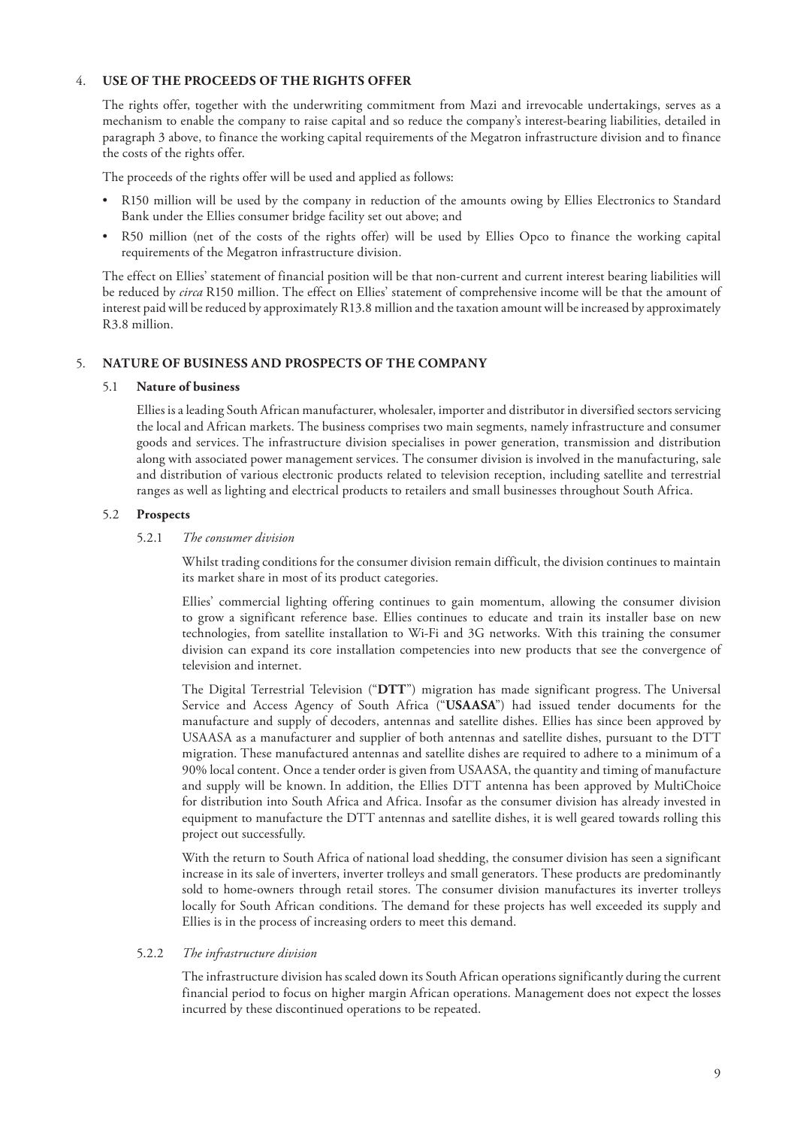#### 4. **USE OF THE PROCEEDS OF THE RIGHTS OFFER**

The rights offer, together with the underwriting commitment from Mazi and irrevocable undertakings, serves as a mechanism to enable the company to raise capital and so reduce the company's interest-bearing liabilities, detailed in paragraph 3 above, to finance the working capital requirements of the Megatron infrastructure division and to finance the costs of the rights offer.

The proceeds of the rights offer will be used and applied as follows:

- R150 million will be used by the company in reduction of the amounts owing by Ellies Electronics to Standard Bank under the Ellies consumer bridge facility set out above; and
- R50 million (net of the costs of the rights offer) will be used by Ellies Opco to finance the working capital requirements of the Megatron infrastructure division.

The effect on Ellies' statement of financial position will be that non-current and current interest bearing liabilities will be reduced by *circa* R150 million. The effect on Ellies' statement of comprehensive income will be that the amount of interest paid will be reduced by approximately R13.8 million and the taxation amount will be increased by approximately R3.8 million.

#### 5. **NATURE OF BUSINESS AND PROSPECTS OF THE COMPANY**

#### 5.1 **Nature of business**

Ellies is a leading South African manufacturer, wholesaler, importer and distributor in diversified sectors servicing the local and African markets. The business comprises two main segments, namely infrastructure and consumer goods and services. The infrastructure division specialises in power generation, transmission and distribution along with associated power management services. The consumer division is involved in the manufacturing, sale and distribution of various electronic products related to television reception, including satellite and terrestrial ranges as well as lighting and electrical products to retailers and small businesses throughout South Africa.

#### 5.2 **Prospects**

#### 5.2.1 *The consumer division*

Whilst trading conditions for the consumer division remain difficult, the division continues to maintain its market share in most of its product categories.

Ellies' commercial lighting offering continues to gain momentum, allowing the consumer division to grow a significant reference base. Ellies continues to educate and train its installer base on new technologies, from satellite installation to Wi-Fi and 3G networks. With this training the consumer division can expand its core installation competencies into new products that see the convergence of television and internet.

The Digital Terrestrial Television ("**DTT**") migration has made significant progress. The Universal Service and Access Agency of South Africa ("**USAASA**") had issued tender documents for the manufacture and supply of decoders, antennas and satellite dishes. Ellies has since been approved by USAASA as a manufacturer and supplier of both antennas and satellite dishes, pursuant to the DTT migration. These manufactured antennas and satellite dishes are required to adhere to a minimum of a 90% local content. Once a tender order is given from USAASA, the quantity and timing of manufacture and supply will be known. In addition, the Ellies DTT antenna has been approved by MultiChoice for distribution into South Africa and Africa. Insofar as the consumer division has already invested in equipment to manufacture the DTT antennas and satellite dishes, it is well geared towards rolling this project out successfully.

With the return to South Africa of national load shedding, the consumer division has seen a significant increase in its sale of inverters, inverter trolleys and small generators. These products are predominantly sold to home-owners through retail stores. The consumer division manufactures its inverter trolleys locally for South African conditions. The demand for these projects has well exceeded its supply and Ellies is in the process of increasing orders to meet this demand.

#### 5.2.2 *The infrastructure division*

The infrastructure division has scaled down its South African operations significantly during the current financial period to focus on higher margin African operations. Management does not expect the losses incurred by these discontinued operations to be repeated.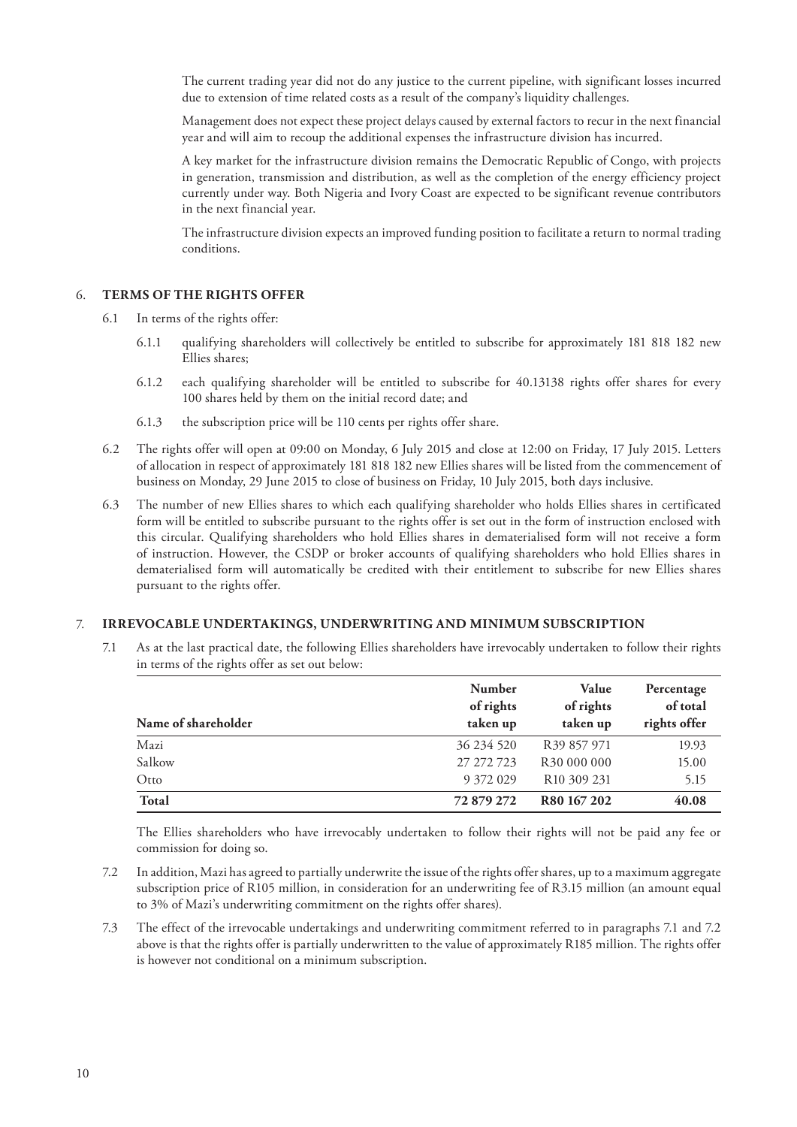The current trading year did not do any justice to the current pipeline, with significant losses incurred due to extension of time related costs as a result of the company's liquidity challenges.

Management does not expect these project delays caused by external factors to recur in the next financial year and will aim to recoup the additional expenses the infrastructure division has incurred.

A key market for the infrastructure division remains the Democratic Republic of Congo, with projects in generation, transmission and distribution, as well as the completion of the energy efficiency project currently under way. Both Nigeria and Ivory Coast are expected to be significant revenue contributors in the next financial year.

The infrastructure division expects an improved funding position to facilitate a return to normal trading conditions.

#### 6. **TERMS OF THE RIGHTS OFFER**

- 6.1 In terms of the rights offer:
	- 6.1.1 qualifying shareholders will collectively be entitled to subscribe for approximately 181 818 182 new Ellies shares;
	- 6.1.2 each qualifying shareholder will be entitled to subscribe for 40.13138 rights offer shares for every 100 shares held by them on the initial record date; and
	- 6.1.3 the subscription price will be 110 cents per rights offer share.
- 6.2 The rights offer will open at 09:00 on Monday, 6 July 2015 and close at 12:00 on Friday, 17 July 2015. Letters of allocation in respect of approximately 181 818 182 new Ellies shares will be listed from the commencement of business on Monday, 29 June 2015 to close of business on Friday, 10 July 2015, both days inclusive.
- 6.3 The number of new Ellies shares to which each qualifying shareholder who holds Ellies shares in certificated form will be entitled to subscribe pursuant to the rights offer is set out in the form of instruction enclosed with this circular. Qualifying shareholders who hold Ellies shares in dematerialised form will not receive a form of instruction. However, the CSDP or broker accounts of qualifying shareholders who hold Ellies shares in dematerialised form will automatically be credited with their entitlement to subscribe for new Ellies shares pursuant to the rights offer.

#### 7. **IRREVOCABLE UNDERTAKINGS, UNDERWRITING AND MINIMUM SUBSCRIPTION**

7.1 As at the last practical date, the following Ellies shareholders have irrevocably undertaken to follow their rights in terms of the rights offer as set out below:

|                     | Number<br>of rights | Value<br>of rights      | Percentage<br>of total |
|---------------------|---------------------|-------------------------|------------------------|
| Name of shareholder | taken up            | taken up                | rights offer           |
| Mazi                | 36 234 520          | R <sub>39</sub> 857 971 | 19.93                  |
| Salkow              | 27 272 723          | R <sub>30</sub> 000 000 | 15.00                  |
| Otto                | 9 372 029           | R <sub>10</sub> 309 231 | 5.15                   |
| <b>Total</b>        | 72 879 272          | R80 167 202             | 40.08                  |

The Ellies shareholders who have irrevocably undertaken to follow their rights will not be paid any fee or commission for doing so.

- 7.2 In addition, Mazi has agreed to partially underwrite the issue of the rights offer shares, up to a maximum aggregate subscription price of R105 million, in consideration for an underwriting fee of R3.15 million (an amount equal to 3% of Mazi's underwriting commitment on the rights offer shares).
- 7.3 The effect of the irrevocable undertakings and underwriting commitment referred to in paragraphs 7.1 and 7.2 above is that the rights offer is partially underwritten to the value of approximately R185 million. The rights offer is however not conditional on a minimum subscription.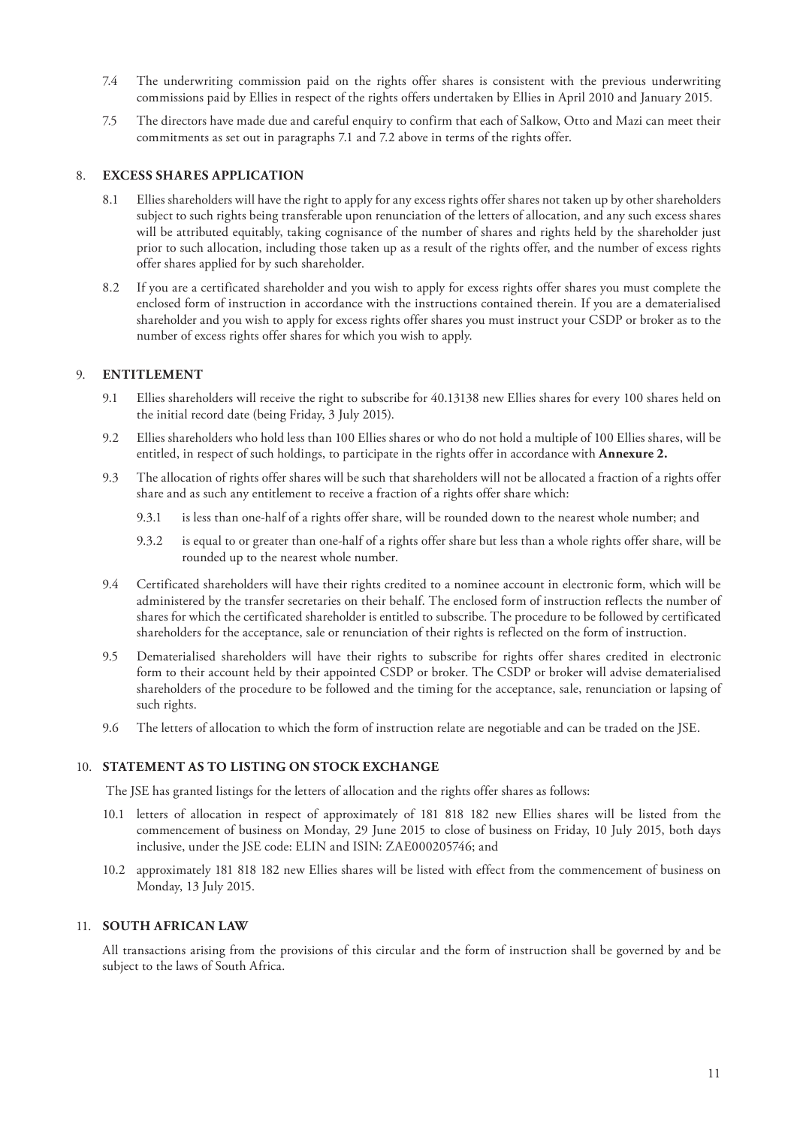- 7.4 The underwriting commission paid on the rights offer shares is consistent with the previous underwriting commissions paid by Ellies in respect of the rights offers undertaken by Ellies in April 2010 and January 2015.
- 7.5 The directors have made due and careful enquiry to confirm that each of Salkow, Otto and Mazi can meet their commitments as set out in paragraphs 7.1 and 7.2 above in terms of the rights offer.

#### 8. **EXCESS SHARES APPLICATION**

- 8.1 Ellies shareholders will have the right to apply for any excess rights offer shares not taken up by other shareholders subject to such rights being transferable upon renunciation of the letters of allocation, and any such excess shares will be attributed equitably, taking cognisance of the number of shares and rights held by the shareholder just prior to such allocation, including those taken up as a result of the rights offer, and the number of excess rights offer shares applied for by such shareholder.
- 8.2 If you are a certificated shareholder and you wish to apply for excess rights offer shares you must complete the enclosed form of instruction in accordance with the instructions contained therein. If you are a dematerialised shareholder and you wish to apply for excess rights offer shares you must instruct your CSDP or broker as to the number of excess rights offer shares for which you wish to apply.

#### 9. **ENTITLEMENT**

- 9.1 Ellies shareholders will receive the right to subscribe for 40.13138 new Ellies shares for every 100 shares held on the initial record date (being Friday, 3 July 2015).
- 9.2 Ellies shareholders who hold less than 100 Ellies shares or who do not hold a multiple of 100 Ellies shares, will be entitled, in respect of such holdings, to participate in the rights offer in accordance with **Annexure 2.**
- 9.3 The allocation of rights offer shares will be such that shareholders will not be allocated a fraction of a rights offer share and as such any entitlement to receive a fraction of a rights offer share which:
	- 9.3.1 is less than one-half of a rights offer share, will be rounded down to the nearest whole number; and
	- 9.3.2 is equal to or greater than one-half of a rights offer share but less than a whole rights offer share, will be rounded up to the nearest whole number.
- 9.4 Certificated shareholders will have their rights credited to a nominee account in electronic form, which will be administered by the transfer secretaries on their behalf. The enclosed form of instruction reflects the number of shares for which the certificated shareholder is entitled to subscribe. The procedure to be followed by certificated shareholders for the acceptance, sale or renunciation of their rights is reflected on the form of instruction.
- 9.5 Dematerialised shareholders will have their rights to subscribe for rights offer shares credited in electronic form to their account held by their appointed CSDP or broker. The CSDP or broker will advise dematerialised shareholders of the procedure to be followed and the timing for the acceptance, sale, renunciation or lapsing of such rights.
- 9.6 The letters of allocation to which the form of instruction relate are negotiable and can be traded on the JSE.

#### 10. **STATEMENT AS TO LISTING ON STOCK EXCHANGE**

The JSE has granted listings for the letters of allocation and the rights offer shares as follows:

- 10.1 letters of allocation in respect of approximately of 181 818 182 new Ellies shares will be listed from the commencement of business on Monday, 29 June 2015 to close of business on Friday, 10 July 2015, both days inclusive, under the JSE code: ELIN and ISIN: ZAE000205746; and
- 10.2 approximately 181 818 182 new Ellies shares will be listed with effect from the commencement of business on Monday, 13 July 2015.

#### 11. **SOUTH AFRICAN LAW**

All transactions arising from the provisions of this circular and the form of instruction shall be governed by and be subject to the laws of South Africa.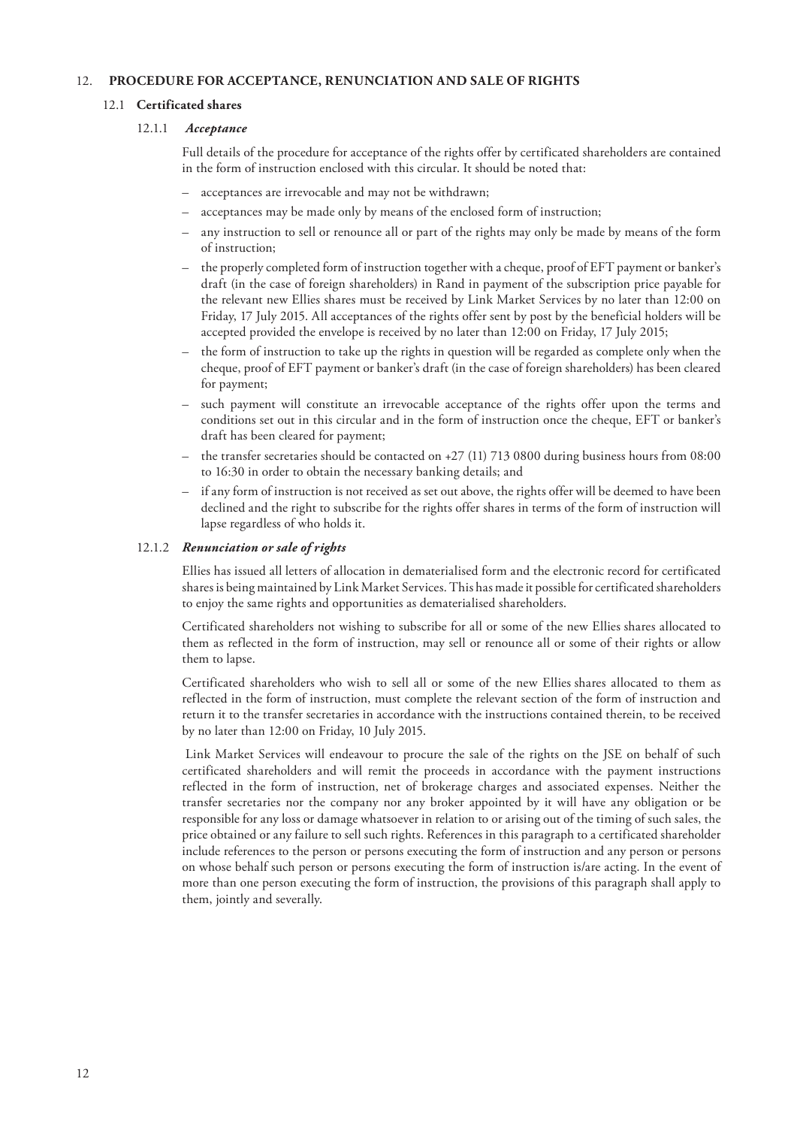#### 12.  **PROCEDURE FOR ACCEPTANCE, RENUNCIATION AND SALE OF RIGHTS**

#### 12.1 **Certificated shares**

#### 12.1.1 *Acceptance*

Full details of the procedure for acceptance of the rights offer by certificated shareholders are contained in the form of instruction enclosed with this circular. It should be noted that:

- acceptances are irrevocable and may not be withdrawn;
- acceptances may be made only by means of the enclosed form of instruction;
- any instruction to sell or renounce all or part of the rights may only be made by means of the form of instruction;
- the properly completed form of instruction together with a cheque, proof of EFT payment or banker's draft (in the case of foreign shareholders) in Rand in payment of the subscription price payable for the relevant new Ellies shares must be received by Link Market Services by no later than 12:00 on Friday, 17 July 2015. All acceptances of the rights offer sent by post by the beneficial holders will be accepted provided the envelope is received by no later than 12:00 on Friday, 17 July 2015;
- the form of instruction to take up the rights in question will be regarded as complete only when the cheque, proof of EFT payment or banker's draft (in the case of foreign shareholders) has been cleared for payment;
- such payment will constitute an irrevocable acceptance of the rights offer upon the terms and conditions set out in this circular and in the form of instruction once the cheque, EFT or banker's draft has been cleared for payment;
- the transfer secretaries should be contacted on +27 (11) 713 0800 during business hours from 08:00 to 16:30 in order to obtain the necessary banking details; and
- if any form of instruction is not received as set out above, the rights offer will be deemed to have been declined and the right to subscribe for the rights offer shares in terms of the form of instruction will lapse regardless of who holds it.

#### 12.1.2 *Renunciation or sale of rights*

Ellies has issued all letters of allocation in dematerialised form and the electronic record for certificated shares is being maintained by Link Market Services. This has made it possible for certificated shareholders to enjoy the same rights and opportunities as dematerialised shareholders.

Certificated shareholders not wishing to subscribe for all or some of the new Ellies shares allocated to them as reflected in the form of instruction, may sell or renounce all or some of their rights or allow them to lapse.

Certificated shareholders who wish to sell all or some of the new Ellies shares allocated to them as reflected in the form of instruction, must complete the relevant section of the form of instruction and return it to the transfer secretaries in accordance with the instructions contained therein, to be received by no later than 12:00 on Friday, 10 July 2015.

Link Market Services will endeavour to procure the sale of the rights on the JSE on behalf of such certificated shareholders and will remit the proceeds in accordance with the payment instructions reflected in the form of instruction, net of brokerage charges and associated expenses. Neither the transfer secretaries nor the company nor any broker appointed by it will have any obligation or be responsible for any loss or damage whatsoever in relation to or arising out of the timing of such sales, the price obtained or any failure to sell such rights. References in this paragraph to a certificated shareholder include references to the person or persons executing the form of instruction and any person or persons on whose behalf such person or persons executing the form of instruction is/are acting. In the event of more than one person executing the form of instruction, the provisions of this paragraph shall apply to them, jointly and severally.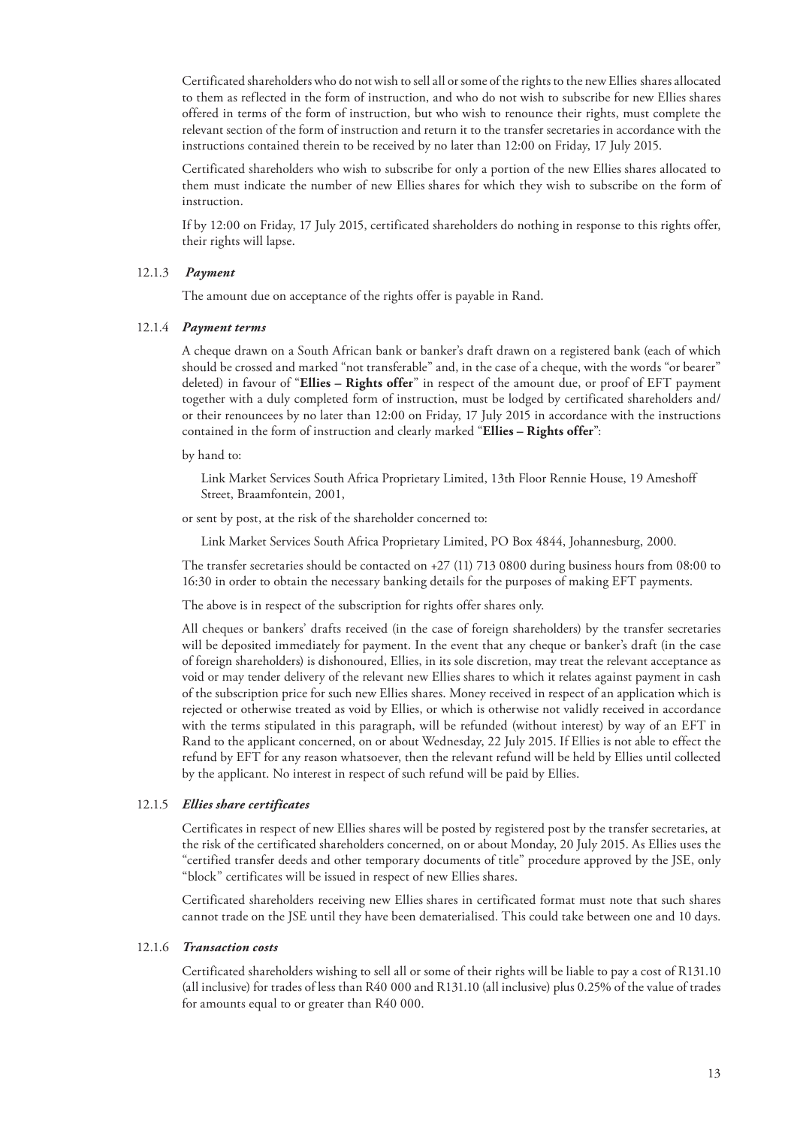Certificated shareholders who do not wish to sell all or some of the rights to the new Ellies shares allocated to them as reflected in the form of instruction, and who do not wish to subscribe for new Ellies shares offered in terms of the form of instruction, but who wish to renounce their rights, must complete the relevant section of the form of instruction and return it to the transfer secretaries in accordance with the instructions contained therein to be received by no later than 12:00 on Friday, 17 July 2015.

Certificated shareholders who wish to subscribe for only a portion of the new Ellies shares allocated to them must indicate the number of new Ellies shares for which they wish to subscribe on the form of instruction.

If by 12:00 on Friday, 17 July 2015, certificated shareholders do nothing in response to this rights offer, their rights will lapse.

#### 12.1.3 *Payment*

The amount due on acceptance of the rights offer is payable in Rand.

#### 12.1.4 *Payment terms*

A cheque drawn on a South African bank or banker's draft drawn on a registered bank (each of which should be crossed and marked "not transferable" and, in the case of a cheque, with the words "or bearer" deleted) in favour of "**Ellies – Rights offer**" in respect of the amount due, or proof of EFT payment together with a duly completed form of instruction, must be lodged by certificated shareholders and/ or their renouncees by no later than 12:00 on Friday, 17 July 2015 in accordance with the instructions contained in the form of instruction and clearly marked "**Ellies – Rights offer**":

by hand to:

Link Market Services South Africa Proprietary Limited, 13th Floor Rennie House, 19 Ameshoff Street, Braamfontein, 2001,

or sent by post, at the risk of the shareholder concerned to:

Link Market Services South Africa Proprietary Limited, PO Box 4844, Johannesburg, 2000.

The transfer secretaries should be contacted on +27 (11) 713 0800 during business hours from 08:00 to 16:30 in order to obtain the necessary banking details for the purposes of making EFT payments.

The above is in respect of the subscription for rights offer shares only.

All cheques or bankers' drafts received (in the case of foreign shareholders) by the transfer secretaries will be deposited immediately for payment. In the event that any cheque or banker's draft (in the case of foreign shareholders) is dishonoured, Ellies, in its sole discretion, may treat the relevant acceptance as void or may tender delivery of the relevant new Ellies shares to which it relates against payment in cash of the subscription price for such new Ellies shares. Money received in respect of an application which is rejected or otherwise treated as void by Ellies, or which is otherwise not validly received in accordance with the terms stipulated in this paragraph, will be refunded (without interest) by way of an EFT in Rand to the applicant concerned, on or about Wednesday, 22 July 2015. If Ellies is not able to effect the refund by EFT for any reason whatsoever, then the relevant refund will be held by Ellies until collected by the applicant. No interest in respect of such refund will be paid by Ellies.

#### 12.1.5 *Ellies share certificates*

Certificates in respect of new Ellies shares will be posted by registered post by the transfer secretaries, at the risk of the certificated shareholders concerned, on or about Monday, 20 July 2015. As Ellies uses the "certified transfer deeds and other temporary documents of title" procedure approved by the JSE, only "block" certificates will be issued in respect of new Ellies shares.

Certificated shareholders receiving new Ellies shares in certificated format must note that such shares cannot trade on the JSE until they have been dematerialised. This could take between one and 10 days.

#### 12.1.6 *Transaction costs*

Certificated shareholders wishing to sell all or some of their rights will be liable to pay a cost of R131.10 (all inclusive) for trades of less than R40 000 and R131.10 (all inclusive) plus 0.25% of the value of trades for amounts equal to or greater than R40 000.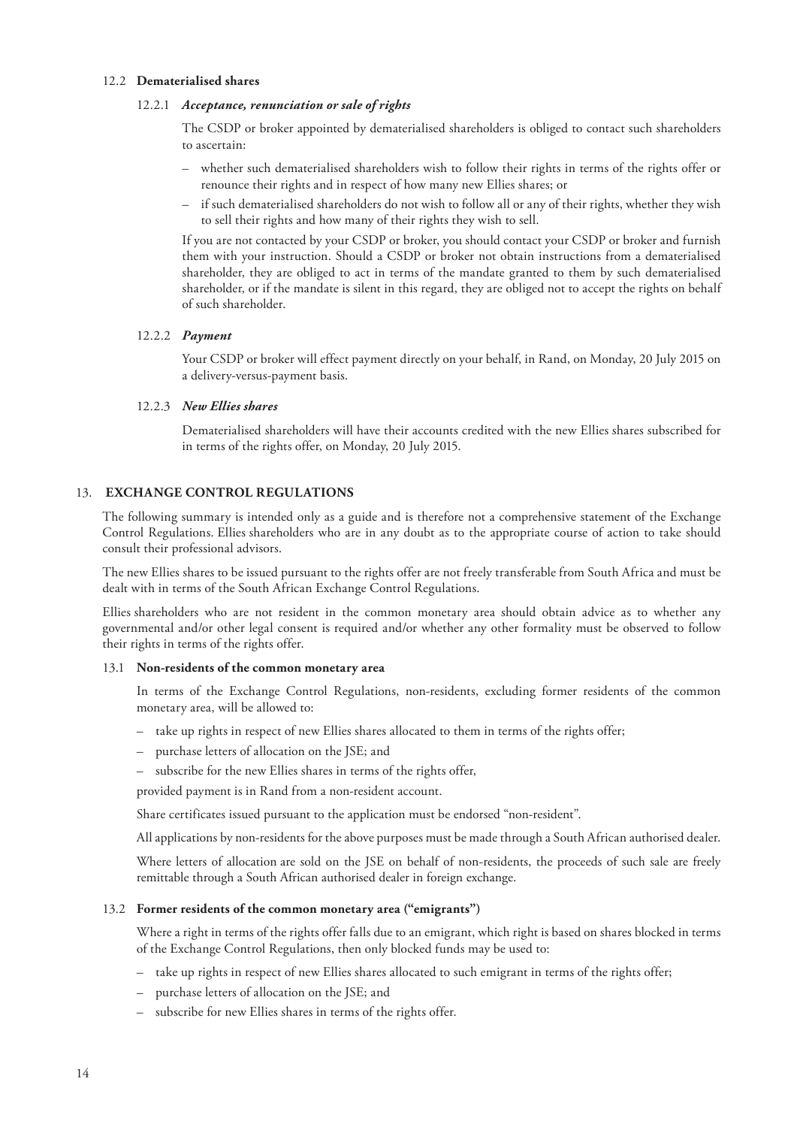#### 12.2 **Dematerialised shares**

#### 12.2.1 *Acceptance, renunciation or sale of rights*

The CSDP or broker appointed by dematerialised shareholders is obliged to contact such shareholders to ascertain:

- whether such dematerialised shareholders wish to follow their rights in terms of the rights offer or renounce their rights and in respect of how many new Ellies shares; or
- if such dematerialised shareholders do not wish to follow all or any of their rights, whether they wish to sell their rights and how many of their rights they wish to sell.

If you are not contacted by your CSDP or broker, you should contact your CSDP or broker and furnish them with your instruction. Should a CSDP or broker not obtain instructions from a dematerialised shareholder, they are obliged to act in terms of the mandate granted to them by such dematerialised shareholder, or if the mandate is silent in this regard, they are obliged not to accept the rights on behalf of such shareholder.

#### 12.2.2 *Payment*

Your CSDP or broker will effect payment directly on your behalf, in Rand, on Monday, 20 July 2015 on a delivery-versus-payment basis.

#### 12.2.3 *New Ellies shares*

Dematerialised shareholders will have their accounts credited with the new Ellies shares subscribed for in terms of the rights offer, on Monday, 20 July 2015.

#### 13.  **EXCHANGE CONTROL REGULATIONS**

The following summary is intended only as a guide and is therefore not a comprehensive statement of the Exchange Control Regulations. Ellies shareholders who are in any doubt as to the appropriate course of action to take should consult their professional advisors.

The new Ellies shares to be issued pursuant to the rights offer are not freely transferable from South Africa and must be dealt with in terms of the South African Exchange Control Regulations.

Ellies shareholders who are not resident in the common monetary area should obtain advice as to whether any governmental and/or other legal consent is required and/or whether any other formality must be observed to follow their rights in terms of the rights offer.

#### 13.1 **Non-residents of the common monetary area**

In terms of the Exchange Control Regulations, non-residents, excluding former residents of the common monetary area, will be allowed to:

- take up rights in respect of new Ellies shares allocated to them in terms of the rights offer;
- purchase letters of allocation on the JSE; and
- subscribe for the new Ellies shares in terms of the rights offer,

provided payment is in Rand from a non-resident account.

Share certificates issued pursuant to the application must be endorsed "non-resident".

All applications by non-residents for the above purposes must be made through a South African authorised dealer.

Where letters of allocation are sold on the JSE on behalf of non-residents, the proceeds of such sale are freely remittable through a South African authorised dealer in foreign exchange.

#### 13.2 **Former residents of the common monetary area ("emigrants")**

Where a right in terms of the rights offer falls due to an emigrant, which right is based on shares blocked in terms of the Exchange Control Regulations, then only blocked funds may be used to:

- take up rights in respect of new Ellies shares allocated to such emigrant in terms of the rights offer;
- purchase letters of allocation on the JSE; and
- subscribe for new Ellies shares in terms of the rights offer.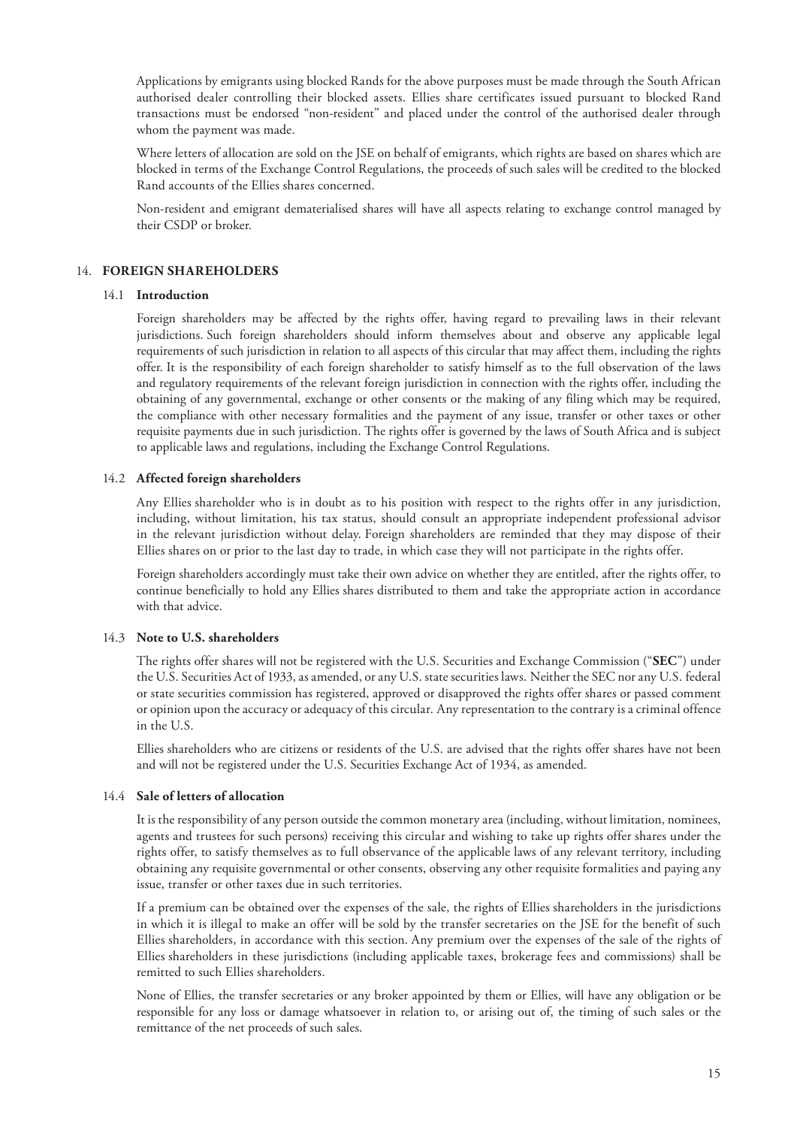Applications by emigrants using blocked Rands for the above purposes must be made through the South African authorised dealer controlling their blocked assets. Ellies share certificates issued pursuant to blocked Rand transactions must be endorsed "non-resident" and placed under the control of the authorised dealer through whom the payment was made.

Where letters of allocation are sold on the JSE on behalf of emigrants, which rights are based on shares which are blocked in terms of the Exchange Control Regulations, the proceeds of such sales will be credited to the blocked Rand accounts of the Ellies shares concerned.

Non-resident and emigrant dematerialised shares will have all aspects relating to exchange control managed by their CSDP or broker.

#### 14. **FOREIGN SHAREHOLDERS**

#### 14.1 **Introduction**

Foreign shareholders may be affected by the rights offer, having regard to prevailing laws in their relevant jurisdictions. Such foreign shareholders should inform themselves about and observe any applicable legal requirements of such jurisdiction in relation to all aspects of this circular that may affect them, including the rights offer. It is the responsibility of each foreign shareholder to satisfy himself as to the full observation of the laws and regulatory requirements of the relevant foreign jurisdiction in connection with the rights offer, including the obtaining of any governmental, exchange or other consents or the making of any filing which may be required, the compliance with other necessary formalities and the payment of any issue, transfer or other taxes or other requisite payments due in such jurisdiction. The rights offer is governed by the laws of South Africa and is subject to applicable laws and regulations, including the Exchange Control Regulations.

#### 14.2 **Affected foreign shareholders**

Any Ellies shareholder who is in doubt as to his position with respect to the rights offer in any jurisdiction, including, without limitation, his tax status, should consult an appropriate independent professional advisor in the relevant jurisdiction without delay. Foreign shareholders are reminded that they may dispose of their Ellies shares on or prior to the last day to trade, in which case they will not participate in the rights offer.

Foreign shareholders accordingly must take their own advice on whether they are entitled, after the rights offer, to continue beneficially to hold any Ellies shares distributed to them and take the appropriate action in accordance with that advice.

#### 14.3 **Note to U.S. shareholders**

The rights offer shares will not be registered with the U.S. Securities and Exchange Commission ("**SEC**") under the U.S. Securities Act of 1933, as amended, or any U.S. state securities laws. Neither the SEC nor any U.S. federal or state securities commission has registered, approved or disapproved the rights offer shares or passed comment or opinion upon the accuracy or adequacy of this circular. Any representation to the contrary is a criminal offence in the U.S.

Ellies shareholders who are citizens or residents of the U.S. are advised that the rights offer shares have not been and will not be registered under the U.S. Securities Exchange Act of 1934, as amended.

#### 14.4 **Sale of letters of allocation**

It is the responsibility of any person outside the common monetary area (including, without limitation, nominees, agents and trustees for such persons) receiving this circular and wishing to take up rights offer shares under the rights offer, to satisfy themselves as to full observance of the applicable laws of any relevant territory, including obtaining any requisite governmental or other consents, observing any other requisite formalities and paying any issue, transfer or other taxes due in such territories.

If a premium can be obtained over the expenses of the sale, the rights of Ellies shareholders in the jurisdictions in which it is illegal to make an offer will be sold by the transfer secretaries on the JSE for the benefit of such Ellies shareholders, in accordance with this section. Any premium over the expenses of the sale of the rights of Ellies shareholders in these jurisdictions (including applicable taxes, brokerage fees and commissions) shall be remitted to such Ellies shareholders.

None of Ellies, the transfer secretaries or any broker appointed by them or Ellies, will have any obligation or be responsible for any loss or damage whatsoever in relation to, or arising out of, the timing of such sales or the remittance of the net proceeds of such sales.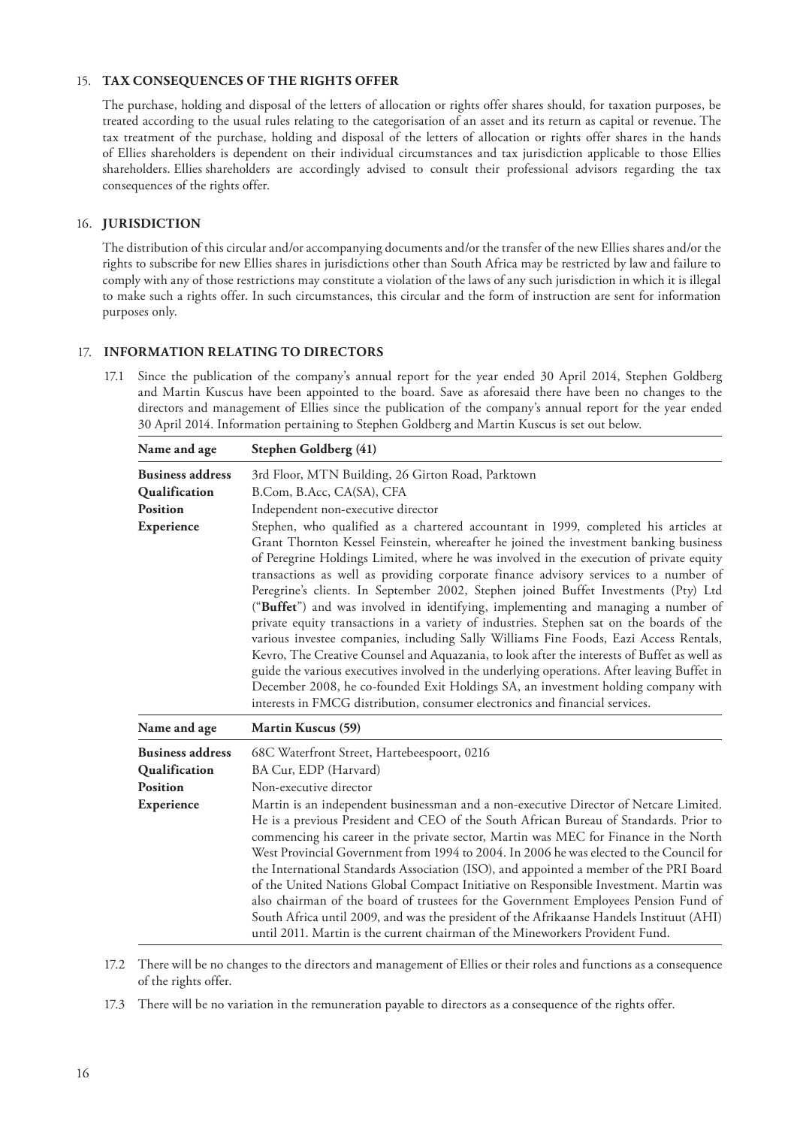#### 15. **TAX CONSEQUENCES OF THE RIGHTS OFFER**

The purchase, holding and disposal of the letters of allocation or rights offer shares should, for taxation purposes, be treated according to the usual rules relating to the categorisation of an asset and its return as capital or revenue. The tax treatment of the purchase, holding and disposal of the letters of allocation or rights offer shares in the hands of Ellies shareholders is dependent on their individual circumstances and tax jurisdiction applicable to those Ellies shareholders. Ellies shareholders are accordingly advised to consult their professional advisors regarding the tax consequences of the rights offer.

#### 16. **JURISDICTION**

The distribution of this circular and/or accompanying documents and/or the transfer of the new Ellies shares and/or the rights to subscribe for new Ellies shares in jurisdictions other than South Africa may be restricted by law and failure to comply with any of those restrictions may constitute a violation of the laws of any such jurisdiction in which it is illegal to make such a rights offer. In such circumstances, this circular and the form of instruction are sent for information purposes only.

#### 17. **INFORMATION RELATING TO DIRECTORS**

17.1 Since the publication of the company's annual report for the year ended 30 April 2014, Stephen Goldberg and Martin Kuscus have been appointed to the board. Save as aforesaid there have been no changes to the directors and management of Ellies since the publication of the company's annual report for the year ended 30 April 2014. Information pertaining to Stephen Goldberg and Martin Kuscus is set out below.

| Name and age                                                              | Stephen Goldberg (41)                                                                                                                                                                                                                                                                                                                                                                                                                                                                                                                                                                                                                                                                                                                                                                                                                                                                                                                                                                                                                                                                                                                                                                                                       |
|---------------------------------------------------------------------------|-----------------------------------------------------------------------------------------------------------------------------------------------------------------------------------------------------------------------------------------------------------------------------------------------------------------------------------------------------------------------------------------------------------------------------------------------------------------------------------------------------------------------------------------------------------------------------------------------------------------------------------------------------------------------------------------------------------------------------------------------------------------------------------------------------------------------------------------------------------------------------------------------------------------------------------------------------------------------------------------------------------------------------------------------------------------------------------------------------------------------------------------------------------------------------------------------------------------------------|
| <b>Business address</b><br>Qualification<br><b>Position</b><br>Experience | 3rd Floor, MTN Building, 26 Girton Road, Parktown<br>B.Com, B.Acc, CA(SA), CFA<br>Independent non-executive director<br>Stephen, who qualified as a chartered accountant in 1999, completed his articles at<br>Grant Thornton Kessel Feinstein, whereafter he joined the investment banking business<br>of Peregrine Holdings Limited, where he was involved in the execution of private equity<br>transactions as well as providing corporate finance advisory services to a number of<br>Peregrine's clients. In September 2002, Stephen joined Buffet Investments (Pty) Ltd<br>("Buffet") and was involved in identifying, implementing and managing a number of<br>private equity transactions in a variety of industries. Stephen sat on the boards of the<br>various investee companies, including Sally Williams Fine Foods, Eazi Access Rentals,<br>Kevro, The Creative Counsel and Aquazania, to look after the interests of Buffet as well as<br>guide the various executives involved in the underlying operations. After leaving Buffet in<br>December 2008, he co-founded Exit Holdings SA, an investment holding company with<br>interests in FMCG distribution, consumer electronics and financial services. |
| Name and age                                                              | <b>Martin Kuscus (59)</b>                                                                                                                                                                                                                                                                                                                                                                                                                                                                                                                                                                                                                                                                                                                                                                                                                                                                                                                                                                                                                                                                                                                                                                                                   |
| <b>Business address</b><br>Qualification<br><b>Position</b><br>Experience | 68C Waterfront Street, Hartebeespoort, 0216<br>BA Cur, EDP (Harvard)<br>Non-executive director<br>Martin is an independent businessman and a non-executive Director of Netcare Limited.<br>He is a previous President and CEO of the South African Bureau of Standards. Prior to<br>commencing his career in the private sector, Martin was MEC for Finance in the North<br>West Provincial Government from 1994 to 2004. In 2006 he was elected to the Council for<br>the International Standards Association (ISO), and appointed a member of the PRI Board<br>of the United Nations Global Compact Initiative on Responsible Investment. Martin was<br>also chairman of the board of trustees for the Government Employees Pension Fund of<br>South Africa until 2009, and was the president of the Afrikaanse Handels Instituut (AHI)<br>until 2011. Martin is the current chairman of the Mineworkers Provident Fund.                                                                                                                                                                                                                                                                                                  |

17.2 There will be no changes to the directors and management of Ellies or their roles and functions as a consequence of the rights offer.

17.3 There will be no variation in the remuneration payable to directors as a consequence of the rights offer.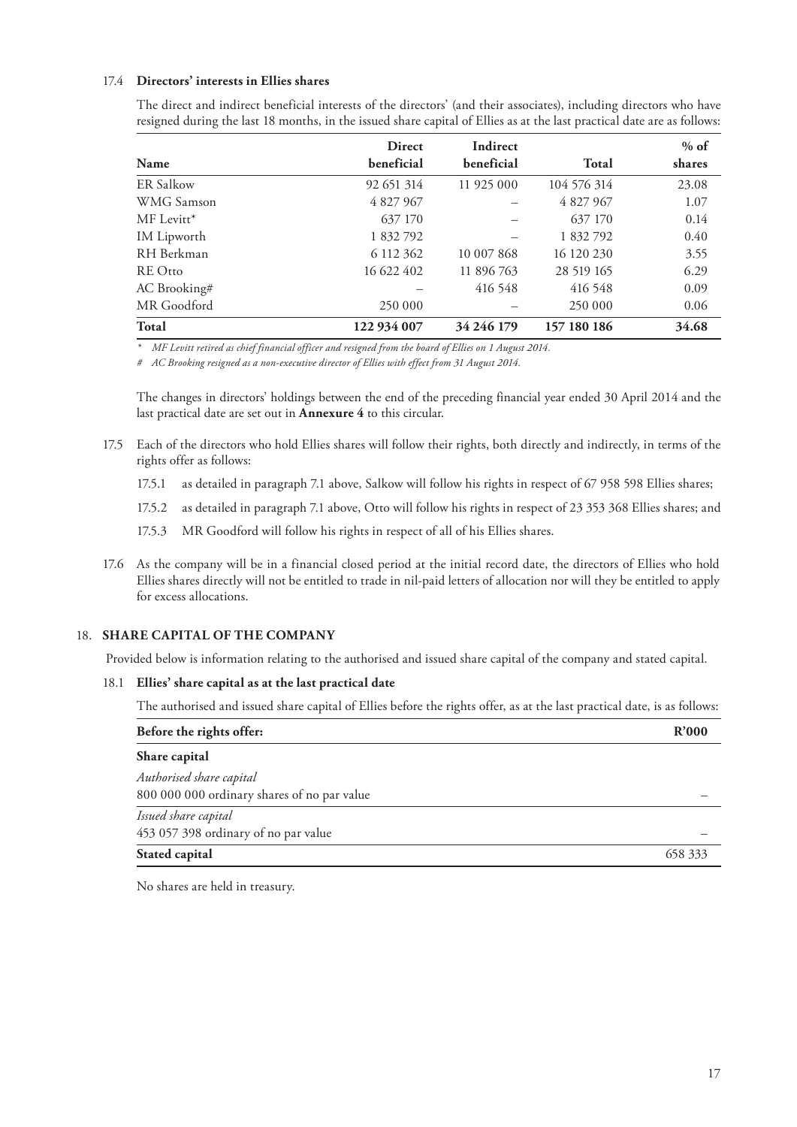#### 17.4 **Directors' interests in Ellies shares**

|                    | <b>Direct</b> | Indirect   |             | $%$ of |
|--------------------|---------------|------------|-------------|--------|
| Name               | beneficial    | beneficial | Total       | shares |
| <b>ER Salkow</b>   | 92 651 314    | 11 925 000 | 104 576 314 | 23.08  |
| WMG Samson         | 4 827 967     |            | 4 827 967   | 1.07   |
| MF Levitt*         | 637 170       |            | 637 170     | 0.14   |
| <b>IM</b> Lipworth | 1 832 792     |            | 1 832 792   | 0.40   |
| RH Berkman         | 6 112 362     | 10 007 868 | 16 120 230  | 3.55   |
| <b>RE</b> Otto     | 16 622 402    | 11 896 763 | 28 519 165  | 6.29   |
| AC Brooking#       |               | 416 548    | 416 548     | 0.09   |
| MR Goodford        | 250 000       |            | 250 000     | 0.06   |
| Total              | 122 934 007   | 34 246 179 | 157 180 186 | 34.68  |

The direct and indirect beneficial interests of the directors' (and their associates), including directors who have resigned during the last 18 months, in the issued share capital of Ellies as at the last practical date are as follows:

*\* MF Levitt retired as chief financial officer and resigned from the board of Ellies on 1 August 2014.*

*# AC Brooking resigned as a non-executive director of Ellies with effect from 31 August 2014.*

The changes in directors' holdings between the end of the preceding financial year ended 30 April 2014 and the last practical date are set out in **Annexure 4** to this circular.

- 17.5 Each of the directors who hold Ellies shares will follow their rights, both directly and indirectly, in terms of the rights offer as follows:
	- 17.5.1 as detailed in paragraph 7.1 above, Salkow will follow his rights in respect of 67 958 598 Ellies shares;
	- 17.5.2 as detailed in paragraph 7.1 above, Otto will follow his rights in respect of 23 353 368 Ellies shares; and
	- 17.5.3 MR Goodford will follow his rights in respect of all of his Ellies shares.
- 17.6 As the company will be in a financial closed period at the initial record date, the directors of Ellies who hold Ellies shares directly will not be entitled to trade in nil-paid letters of allocation nor will they be entitled to apply for excess allocations.

#### 18. **SHARE CAPITAL OF THE COMPANY**

Provided below is information relating to the authorised and issued share capital of the company and stated capital.

#### 18.1 **Ellies' share capital as at the last practical date**

The authorised and issued share capital of Ellies before the rights offer, as at the last practical date, is as follows:

| Before the rights offer:                                                | R'000   |
|-------------------------------------------------------------------------|---------|
| Share capital                                                           |         |
| Authorised share capital<br>800 000 000 ordinary shares of no par value |         |
| Issued share capital<br>453 057 398 ordinary of no par value            |         |
| Stated capital                                                          | 658 333 |

No shares are held in treasury.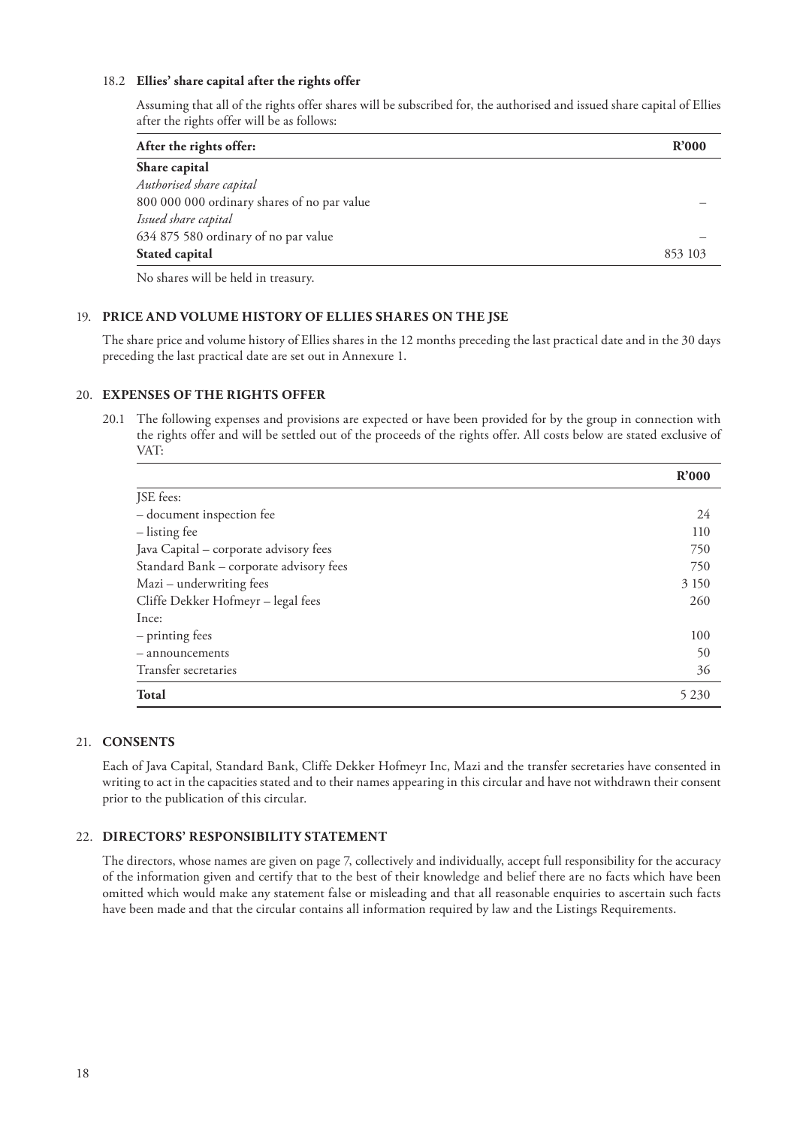#### 18.2 **Ellies' share capital after the rights offer**

Assuming that all of the rights offer shares will be subscribed for, the authorised and issued share capital of Ellies after the rights offer will be as follows:

| After the rights offer:                     | R'000   |
|---------------------------------------------|---------|
| Share capital                               |         |
| Authorised share capital                    |         |
| 800 000 000 ordinary shares of no par value |         |
| Issued share capital                        |         |
| 634 875 580 ordinary of no par value        |         |
| Stated capital                              | 853 103 |
|                                             |         |

No shares will be held in treasury.

#### 19. **PRICE AND VOLUME HISTORY OF ELLIES SHARES ON THE JSE**

The share price and volume history of Ellies shares in the 12 months preceding the last practical date and in the 30 days preceding the last practical date are set out in Annexure 1.

#### 20. **EXPENSES OF THE RIGHTS OFFER**

20.1 The following expenses and provisions are expected or have been provided for by the group in connection with the rights offer and will be settled out of the proceeds of the rights offer. All costs below are stated exclusive of VAT:

|                                         | R'000   |
|-----------------------------------------|---------|
| JSE fees:                               |         |
| - document inspection fee               | 24      |
| - listing fee                           | 110     |
| Java Capital - corporate advisory fees  | 750     |
| Standard Bank - corporate advisory fees | 750     |
| Mazi – underwriting fees                | 3 1 5 0 |
| Cliffe Dekker Hofmeyr - legal fees      | 260     |
| Ince:                                   |         |
| - printing fees                         | 100     |
| - announcements                         | 50      |
| Transfer secretaries                    | 36      |
| Total                                   | 5 2 3 0 |

#### 21. **CONSENTS**

Each of Java Capital, Standard Bank, Cliffe Dekker Hofmeyr Inc, Mazi and the transfer secretaries have consented in writing to act in the capacities stated and to their names appearing in this circular and have not withdrawn their consent prior to the publication of this circular.

#### 22. **DIRECTORS' RESPONSIBILITY STATEMENT**

The directors, whose names are given on page 7, collectively and individually, accept full responsibility for the accuracy of the information given and certify that to the best of their knowledge and belief there are no facts which have been omitted which would make any statement false or misleading and that all reasonable enquiries to ascertain such facts have been made and that the circular contains all information required by law and the Listings Requirements.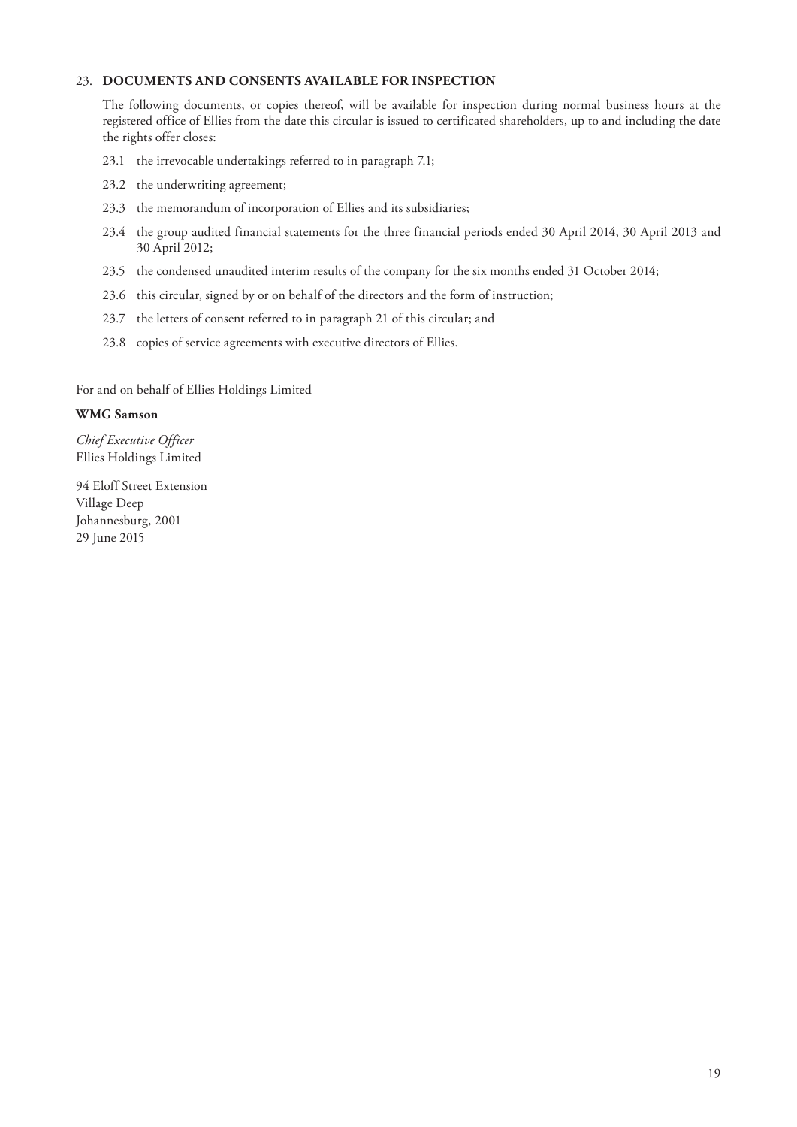#### 23. **DOCUMENTS AND CONSENTS AVAILABLE FOR INSPECTION**

The following documents, or copies thereof, will be available for inspection during normal business hours at the registered office of Ellies from the date this circular is issued to certificated shareholders, up to and including the date the rights offer closes:

- 23.1 the irrevocable undertakings referred to in paragraph 7.1;
- 23.2 the underwriting agreement;
- 23.3 the memorandum of incorporation of Ellies and its subsidiaries;
- 23.4 the group audited financial statements for the three financial periods ended 30 April 2014, 30 April 2013 and 30 April 2012;
- 23.5 the condensed unaudited interim results of the company for the six months ended 31 October 2014;
- 23.6 this circular, signed by or on behalf of the directors and the form of instruction;
- 23.7 the letters of consent referred to in paragraph 21 of this circular; and
- 23.8 copies of service agreements with executive directors of Ellies.

For and on behalf of Ellies Holdings Limited

#### **WMG Samson**

*Chief Executive Officer* Ellies Holdings Limited

94 Eloff Street Extension Village Deep Johannesburg, 2001 29 June 2015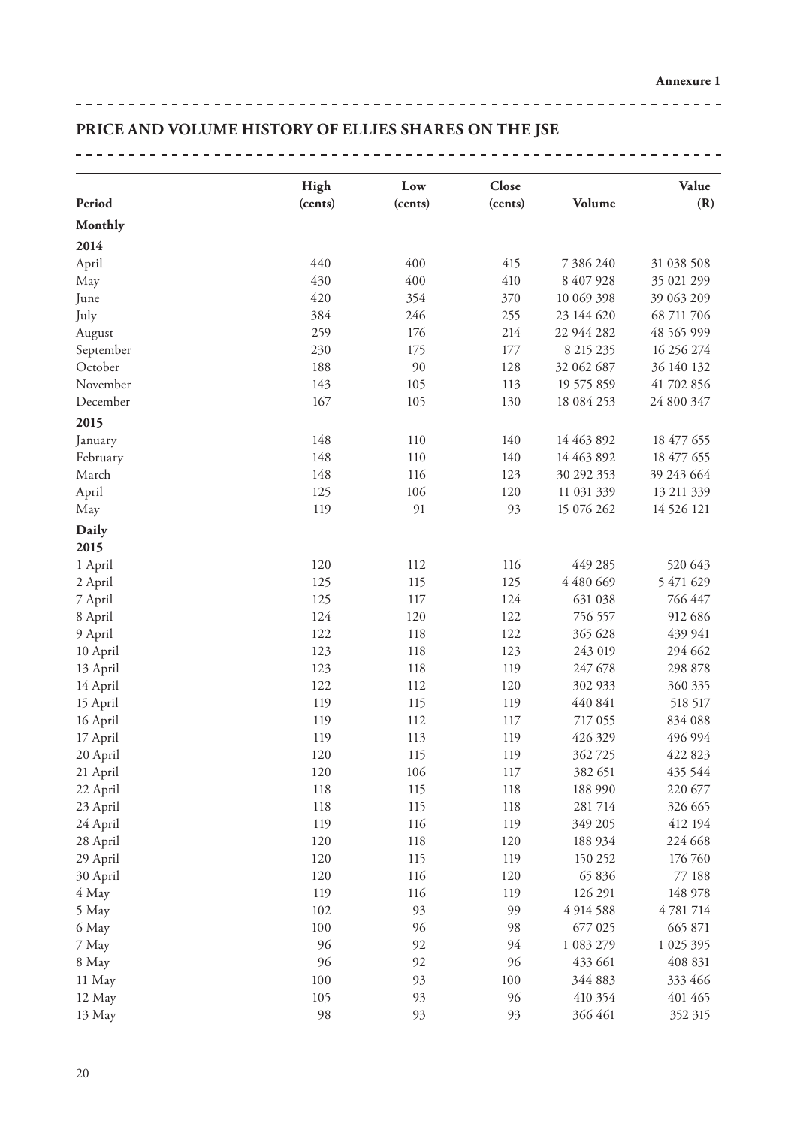## **PRICE AND VOLUME HISTORY OF ELLIES SHARES ON THE JSE**

|           | High    | Low     | Close   |            | Value       |
|-----------|---------|---------|---------|------------|-------------|
| Period    | (cents) | (cents) | (cents) | Volume     | (R)         |
| Monthly   |         |         |         |            |             |
| 2014      |         |         |         |            |             |
| April     | 440     | 400     | 415     | 7 386 240  | 31 038 508  |
| May       | 430     | 400     | 410     | 8 407 928  | 35 021 299  |
| June      | 420     | 354     | 370     | 10 069 398 | 39 063 209  |
| July      | 384     | 246     | 255     | 23 144 620 | 68 711 706  |
| August    | 259     | 176     | 214     | 22 944 282 | 48 565 999  |
| September | 230     | 175     | 177     | 8 215 235  | 16 25 6 274 |
| October   | 188     | 90      | 128     | 32 062 687 | 36 140 132  |
| November  | 143     | 105     | 113     | 19 575 859 | 41 702 856  |
| December  | 167     | 105     | 130     | 18 084 253 | 24 800 347  |
| 2015      |         |         |         |            |             |
| January   | 148     | 110     | 140     | 14 463 892 | 18 477 655  |
| February  | 148     | 110     | 140     | 14 463 892 | 18 477 655  |
| March     | 148     | 116     | 123     | 30 292 353 | 39 243 664  |
| April     | 125     | 106     | 120     | 11 031 339 | 13 211 339  |
| May       | 119     | 91      | 93      | 15 076 262 | 14 526 121  |
| Daily     |         |         |         |            |             |
| 2015      |         |         |         |            |             |
| 1 April   | 120     | 112     | 116     | 449 285    | 520 643     |
| 2 April   | 125     | 115     | 125     | 4 480 669  | 5 471 629   |
| 7 April   | 125     | 117     | 124     | 631 038    | 766 447     |
| 8 April   | 124     | 120     | 122     | 756 557    | 912 686     |
| 9 April   | 122     | 118     | 122     | 365 628    | 439 941     |
| 10 April  | 123     | 118     | 123     | 243 019    | 294 662     |
| 13 April  | 123     | 118     | 119     | 247 678    | 298 878     |
| 14 April  | 122     | 112     | 120     | 302 933    | 360 335     |
| 15 April  | 119     | 115     | 119     | 440 841    | 518 517     |
| 16 April  | 119     | 112     | 117     | 717 055    | 834 088     |
| 17 April  | 119     | 113     | 119     | 426 329    | 496 994     |
| 20 April  | 120     | 115     | 119     | 362725     | 422 823     |
| 21 April  | 120     | 106     | 117     | 382 651    | 435 544     |
| 22 April  | 118     | 115     | 118     | 188 990    | 220 677     |
| 23 April  | 118     | 115     | 118     | 281 714    | 326 665     |
| 24 April  | 119     | 116     | 119     | 349 205    | 412 194     |
| 28 April  | 120     | 118     | 120     | 188 934    | 224 668     |
| 29 April  | 120     | 115     | 119     | 150 252    | 176 760     |
| 30 April  | 120     | 116     | 120     | 65 836     | 77 188      |
| 4 May     | 119     | 116     | 119     | 126 291    | 148 978     |
| 5 May     | 102     | 93      | 99      | 4 914 588  | 4 781 714   |
| 6 May     | 100     | 96      | 98      | 677 025    | 665 871     |
| 7 May     | 96      | 92      | 94      | 1 083 279  | 1 025 395   |
| 8 May     | 96      | 92      | 96      | 433 661    | 408 831     |
| 11 May    | 100     | 93      | 100     | 344 883    | 333 466     |
| 12 May    | 105     | 93      | 96      | 410 354    | 401 465     |
| 13 May    | 98      | 93      | 93      | 366 461    | 352 315     |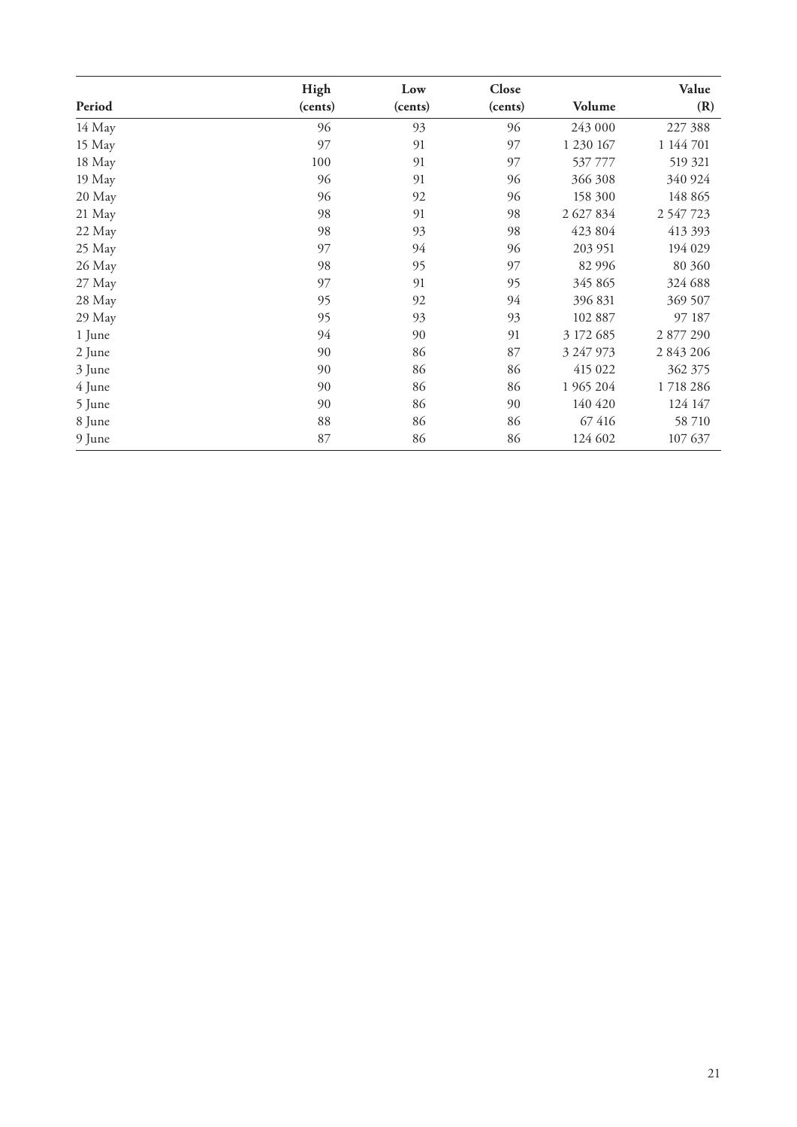|        | High    | Low     | Close   |           | Value       |
|--------|---------|---------|---------|-----------|-------------|
| Period | (cents) | (cents) | (cents) | Volume    | (R)         |
| 14 May | 96      | 93      | 96      | 243 000   | 227 388     |
| 15 May | 97      | 91      | 97      | 1 230 167 | 1 144 701   |
| 18 May | 100     | 91      | 97      | 537 777   | 519 321     |
| 19 May | 96      | 91      | 96      | 366 308   | 340 924     |
| 20 May | 96      | 92      | 96      | 158 300   | 148 865     |
| 21 May | 98      | 91      | 98      | 2 627 834 | 2 5 47 7 23 |
| 22 May | 98      | 93      | 98      | 423 804   | 413 393     |
| 25 May | 97      | 94      | 96      | 203 951   | 194 029     |
| 26 May | 98      | 95      | 97      | 82 996    | 80 360      |
| 27 May | 97      | 91      | 95      | 345 865   | 324 688     |
| 28 May | 95      | 92      | 94      | 396 831   | 369 507     |
| 29 May | 95      | 93      | 93      | 102 887   | 97 187      |
| 1 June | 94      | 90      | 91      | 3 172 685 | 2 877 290   |
| 2 June | 90      | 86      | 87      | 3 247 973 | 2 843 206   |
| 3 June | 90      | 86      | 86      | 415 022   | 362 375     |
| 4 June | 90      | 86      | 86      | 1 965 204 | 1718286     |
| 5 June | 90      | 86      | 90      | 140 420   | 124 147     |
| 8 June | 88      | 86      | 86      | 67416     | 58 710      |
| 9 June | 87      | 86      | 86      | 124 602   | 107 637     |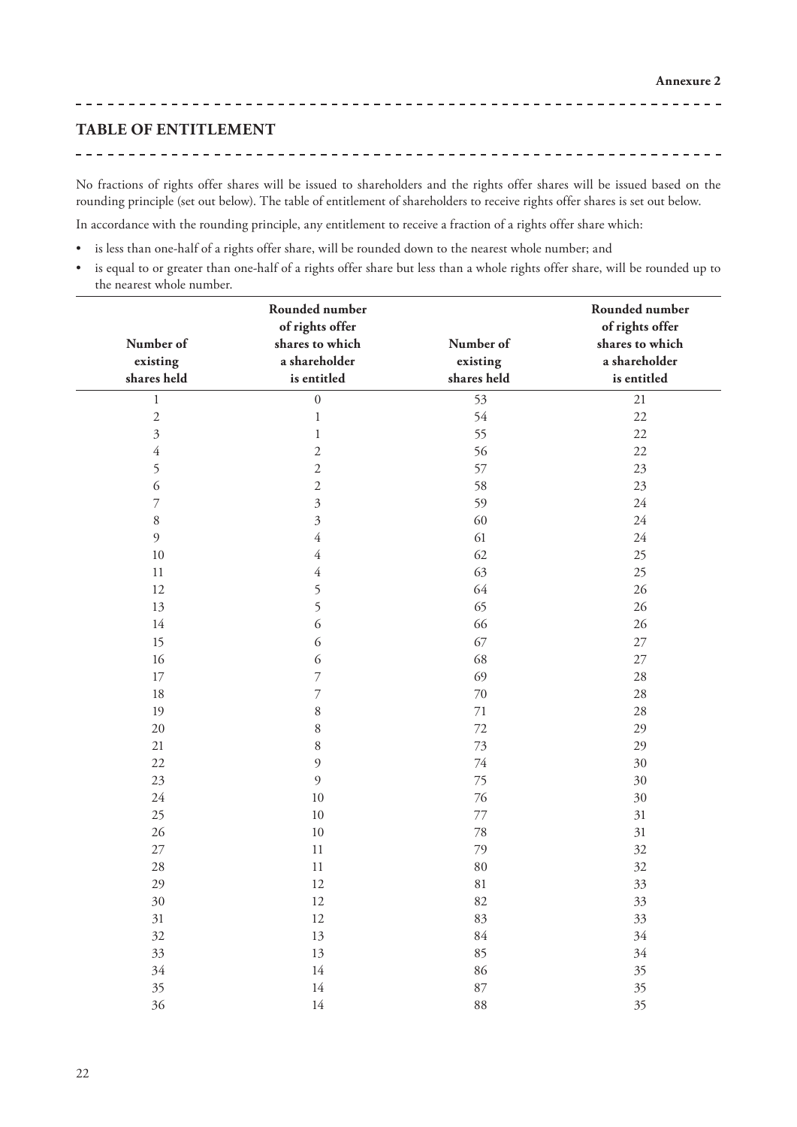<u> - - - - - - - - - - - -</u>

#### **TABLE OF ENTITLEMENT**

No fractions of rights offer shares will be issued to shareholders and the rights offer shares will be issued based on the rounding principle (set out below). The table of entitlement of shareholders to receive rights offer shares is set out below.

In accordance with the rounding principle, any entitlement to receive a fraction of a rights offer share which:

- is less than one-half of a rights offer share, will be rounded down to the nearest whole number; and
- is equal to or greater than one-half of a rights offer share but less than a whole rights offer share, will be rounded up to the nearest whole number.

| Number of<br>existing<br>shares held | Rounded number<br>of rights offer<br>shares to which<br>a shareholder<br>is entitled | Number of<br>existing<br>shares held | Rounded number<br>of rights offer<br>shares to which<br>a shareholder<br>is entitled |
|--------------------------------------|--------------------------------------------------------------------------------------|--------------------------------------|--------------------------------------------------------------------------------------|
| $\mathbf{1}$                         | $\boldsymbol{0}$                                                                     | 53                                   | $21\,$                                                                               |
| $\overline{c}$                       | $\,1$                                                                                | 54                                   | 22                                                                                   |
| 3                                    | 1                                                                                    | 55                                   | 22                                                                                   |
| 4                                    | $\overline{c}$                                                                       | 56                                   | 22                                                                                   |
| 5                                    | $\mathfrak{2}$                                                                       | 57                                   | 23                                                                                   |
| 6                                    | $\overline{c}$                                                                       | 58                                   | 23                                                                                   |
| $\overline{7}$                       | $\overline{\mathbf{3}}$                                                              | 59                                   | 24                                                                                   |
| 8                                    | $\overline{\mathbf{3}}$                                                              | 60                                   | $24\,$                                                                               |
| 9                                    | $\overline{4}$                                                                       | 61                                   | 24                                                                                   |
| 10                                   | 4                                                                                    | 62                                   | 25                                                                                   |
| 11                                   | 4                                                                                    | 63                                   | 25                                                                                   |
| 12                                   | 5                                                                                    | 64                                   | 26                                                                                   |
| 13                                   | 5                                                                                    | 65                                   | 26                                                                                   |
| 14                                   | 6                                                                                    | 66                                   | 26                                                                                   |
| 15                                   | 6                                                                                    | 67                                   | $27\,$                                                                               |
| 16                                   | 6                                                                                    | 68                                   | $27\,$                                                                               |
| 17                                   | 7                                                                                    | 69                                   | 28                                                                                   |
| 18                                   | 7                                                                                    | $70\,$                               | $28\,$                                                                               |
| 19                                   | 8                                                                                    | 71                                   | 28                                                                                   |
| 20                                   | 8                                                                                    | 72                                   | 29                                                                                   |
| 21                                   | 8                                                                                    | 73                                   | 29                                                                                   |
| 22                                   | $\mathfrak{g}$                                                                       | $74\,$                               | 30                                                                                   |
| 23                                   | 9                                                                                    | 75                                   | 30                                                                                   |
| $24\,$                               | 10                                                                                   | 76                                   | 30                                                                                   |
| 25                                   | 10                                                                                   | 77                                   | 31                                                                                   |
| 26                                   | 10                                                                                   | 78                                   | 31                                                                                   |
| 27                                   | 11                                                                                   | 79                                   | 32                                                                                   |
| 28                                   | 11                                                                                   | $80\,$                               | 32                                                                                   |
| 29                                   | 12                                                                                   | 81                                   | 33                                                                                   |
| 30                                   | 12                                                                                   | 82                                   | 33                                                                                   |
| $31\,$                               | $12\,$                                                                               | $83\,$                               | 33                                                                                   |
| 32                                   | $13\,$                                                                               | $84\,$                               | 34                                                                                   |
| 33                                   | $13\,$                                                                               | 85                                   | 34                                                                                   |
| 34                                   | $14\,$                                                                               | 86                                   | 35                                                                                   |
| 35                                   | $14\,$                                                                               | 87                                   | 35                                                                                   |
| 36                                   | $14\,$                                                                               | 88                                   | 35                                                                                   |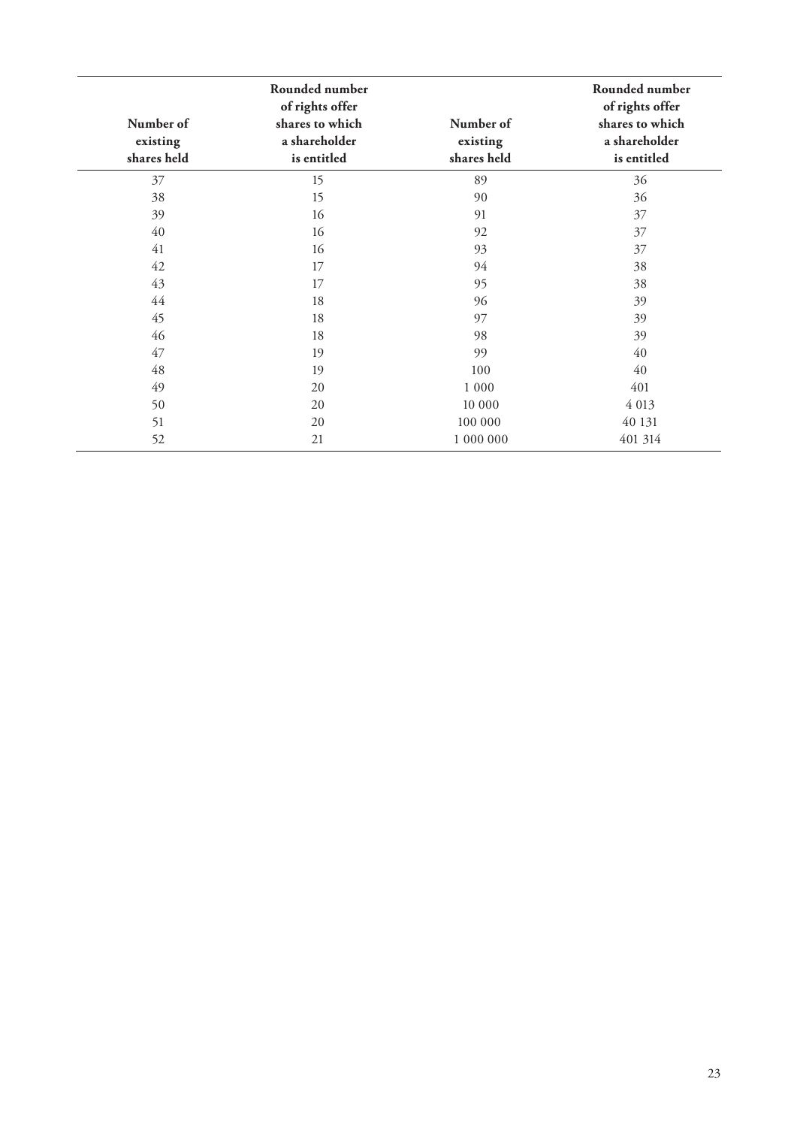| Number of<br>existing<br>shares held | Rounded number<br>of rights offer<br>shares to which<br>a shareholder<br>is entitled | Number of<br>existing<br>shares held | Rounded number<br>of rights offer<br>shares to which<br>a shareholder<br>is entitled |
|--------------------------------------|--------------------------------------------------------------------------------------|--------------------------------------|--------------------------------------------------------------------------------------|
| 37                                   | 15                                                                                   | 89                                   | 36                                                                                   |
| 38                                   | 15                                                                                   | 90                                   | 36                                                                                   |
| 39                                   | 16                                                                                   | 91                                   | 37                                                                                   |
| 40                                   | 16                                                                                   | 92                                   | 37                                                                                   |
| 41                                   | 16                                                                                   | 93                                   | 37                                                                                   |
| 42                                   | 17                                                                                   | 94                                   | 38                                                                                   |
| 43                                   | 17                                                                                   | 95                                   | 38                                                                                   |
| 44                                   | 18                                                                                   | 96                                   | 39                                                                                   |
| 45                                   | 18                                                                                   | 97                                   | 39                                                                                   |
| 46                                   | 18                                                                                   | 98                                   | 39                                                                                   |
| 47                                   | 19                                                                                   | 99                                   | 40                                                                                   |
| 48                                   | 19                                                                                   | 100                                  | 40                                                                                   |
| 49                                   | 20                                                                                   | 1 0 0 0                              | 401                                                                                  |
| 50                                   | 20                                                                                   | 10 000                               | 4 013                                                                                |
| 51                                   | 20                                                                                   | 100 000                              | 40 131                                                                               |
| 52                                   | 21                                                                                   | 1 000 000                            | 401 314                                                                              |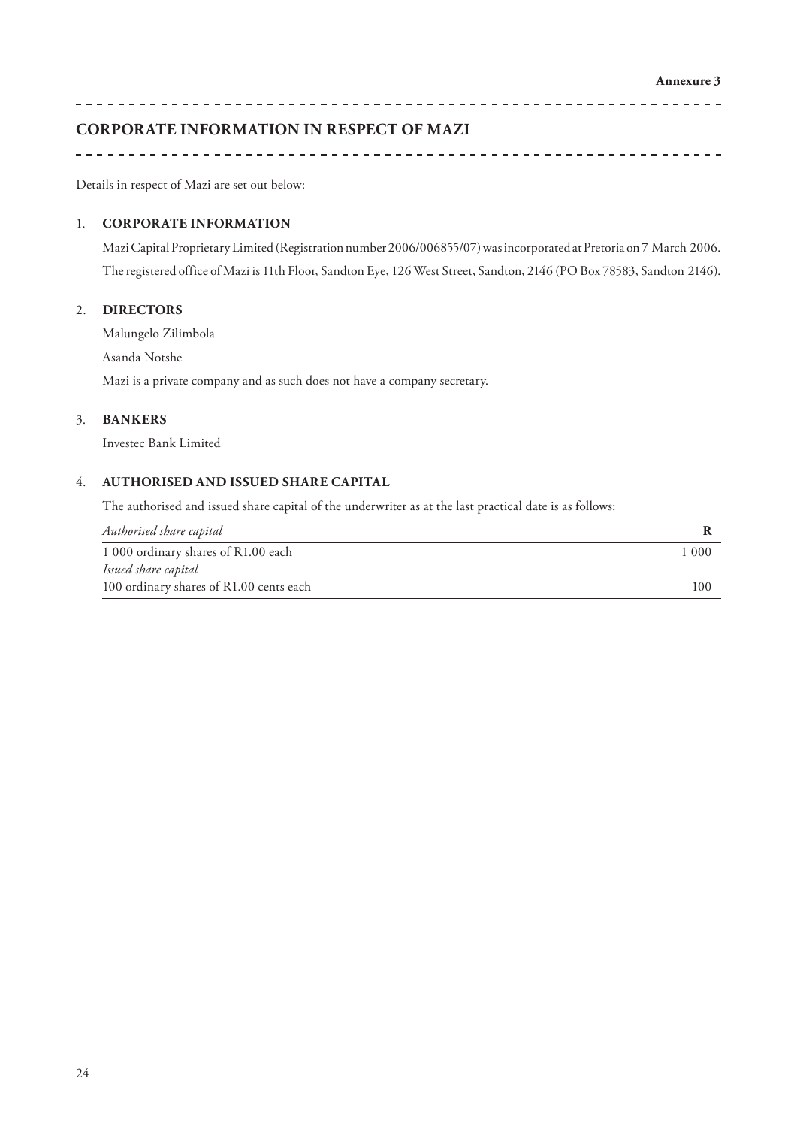## **CORPORATE INFORMATION IN RESPECT OF MAZI**

Details in respect of Mazi are set out below:

#### 1. **CORPORATE INFORMATION**

Mazi Capital Proprietary Limited (Registration number 2006/006855/07) was incorporated at Pretoria on 7 March 2006. The registered office of Mazi is 11th Floor, Sandton Eye, 126 West Street, Sandton, 2146 (PO Box 78583, Sandton 2146).

#### 2. **DIRECTORS**

Malungelo Zilimbola

Asanda Notshe

Mazi is a private company and as such does not have a company secretary.

#### 3. **BANKERS**

Investec Bank Limited

### 4. **AUTHORISED AND ISSUED SHARE CAPITAL**

The authorised and issued share capital of the underwriter as at the last practical date is as follows:

| Authorised share capital                |       |
|-----------------------------------------|-------|
| 1 000 ordinary shares of R1.00 each     | 1 000 |
| Issued share capital                    |       |
| 100 ordinary shares of R1.00 cents each | 100   |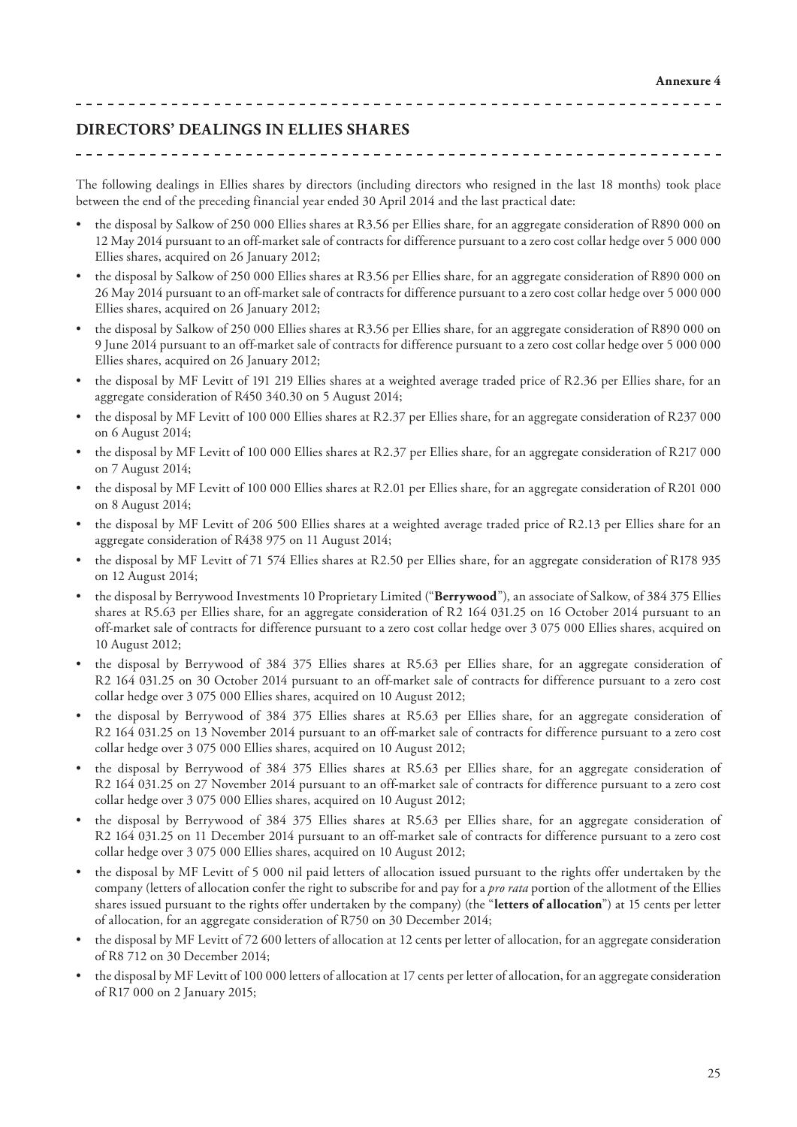<u> 2 2 2 2 2 2 2 2 2 2 2 2</u>

### **DIRECTORS' DEALINGS IN ELLIES SHARES**

The following dealings in Ellies shares by directors (including directors who resigned in the last 18 months) took place between the end of the preceding financial year ended 30 April 2014 and the last practical date:

- the disposal by Salkow of 250 000 Ellies shares at R3.56 per Ellies share, for an aggregate consideration of R890 000 on 12 May 2014 pursuant to an off-market sale of contracts for difference pursuant to a zero cost collar hedge over 5 000 000 Ellies shares, acquired on 26 January 2012;
- the disposal by Salkow of 250 000 Ellies shares at R3.56 per Ellies share, for an aggregate consideration of R890 000 on 26 May 2014 pursuant to an off-market sale of contracts for difference pursuant to a zero cost collar hedge over 5 000 000 Ellies shares, acquired on 26 January 2012;
- the disposal by Salkow of 250 000 Ellies shares at R3.56 per Ellies share, for an aggregate consideration of R890 000 on 9 June 2014 pursuant to an off-market sale of contracts for difference pursuant to a zero cost collar hedge over 5 000 000 Ellies shares, acquired on 26 January 2012;
- the disposal by MF Levitt of 191 219 Ellies shares at a weighted average traded price of R2.36 per Ellies share, for an aggregate consideration of R450 340.30 on 5 August 2014;
- the disposal by MF Levitt of 100 000 Ellies shares at R2.37 per Ellies share, for an aggregate consideration of R237 000 on 6 August 2014;
- the disposal by MF Levitt of 100 000 Ellies shares at R2.37 per Ellies share, for an aggregate consideration of R217 000 on 7 August 2014;
- the disposal by MF Levitt of 100 000 Ellies shares at R2.01 per Ellies share, for an aggregate consideration of R201 000 on 8 August 2014;
- the disposal by MF Levitt of 206 500 Ellies shares at a weighted average traded price of R2.13 per Ellies share for an aggregate consideration of R438 975 on 11 August 2014;
- the disposal by MF Levitt of 71 574 Ellies shares at R2.50 per Ellies share, for an aggregate consideration of R178 935 on 12 August 2014;
- the disposal by Berrywood Investments 10 Proprietary Limited ("**Berrywood**"), an associate of Salkow, of 384 375 Ellies shares at R5.63 per Ellies share, for an aggregate consideration of R2 164 031.25 on 16 October 2014 pursuant to an off-market sale of contracts for difference pursuant to a zero cost collar hedge over 3 075 000 Ellies shares, acquired on 10 August 2012;
- the disposal by Berrywood of 384 375 Ellies shares at R5.63 per Ellies share, for an aggregate consideration of R2 164 031.25 on 30 October 2014 pursuant to an off-market sale of contracts for difference pursuant to a zero cost collar hedge over 3 075 000 Ellies shares, acquired on 10 August 2012;
- the disposal by Berrywood of 384 375 Ellies shares at R5.63 per Ellies share, for an aggregate consideration of R2 164 031.25 on 13 November 2014 pursuant to an off-market sale of contracts for difference pursuant to a zero cost collar hedge over 3 075 000 Ellies shares, acquired on 10 August 2012;
- the disposal by Berrywood of 384 375 Ellies shares at R5.63 per Ellies share, for an aggregate consideration of R2 164 031.25 on 27 November 2014 pursuant to an off-market sale of contracts for difference pursuant to a zero cost collar hedge over 3 075 000 Ellies shares, acquired on 10 August 2012;
- the disposal by Berrywood of 384 375 Ellies shares at R5.63 per Ellies share, for an aggregate consideration of R2 164 031.25 on 11 December 2014 pursuant to an off-market sale of contracts for difference pursuant to a zero cost collar hedge over 3 075 000 Ellies shares, acquired on 10 August 2012;
- the disposal by MF Levitt of 5 000 nil paid letters of allocation issued pursuant to the rights offer undertaken by the company (letters of allocation confer the right to subscribe for and pay for a *pro rata* portion of the allotment of the Ellies shares issued pursuant to the rights offer undertaken by the company) (the "**letters of allocation**") at 15 cents per letter of allocation, for an aggregate consideration of R750 on 30 December 2014;
- the disposal by MF Levitt of 72 600 letters of allocation at 12 cents per letter of allocation, for an aggregate consideration of R8 712 on 30 December 2014;
- the disposal by MF Levitt of 100 000 letters of allocation at 17 cents per letter of allocation, for an aggregate consideration of R17 000 on 2 January 2015;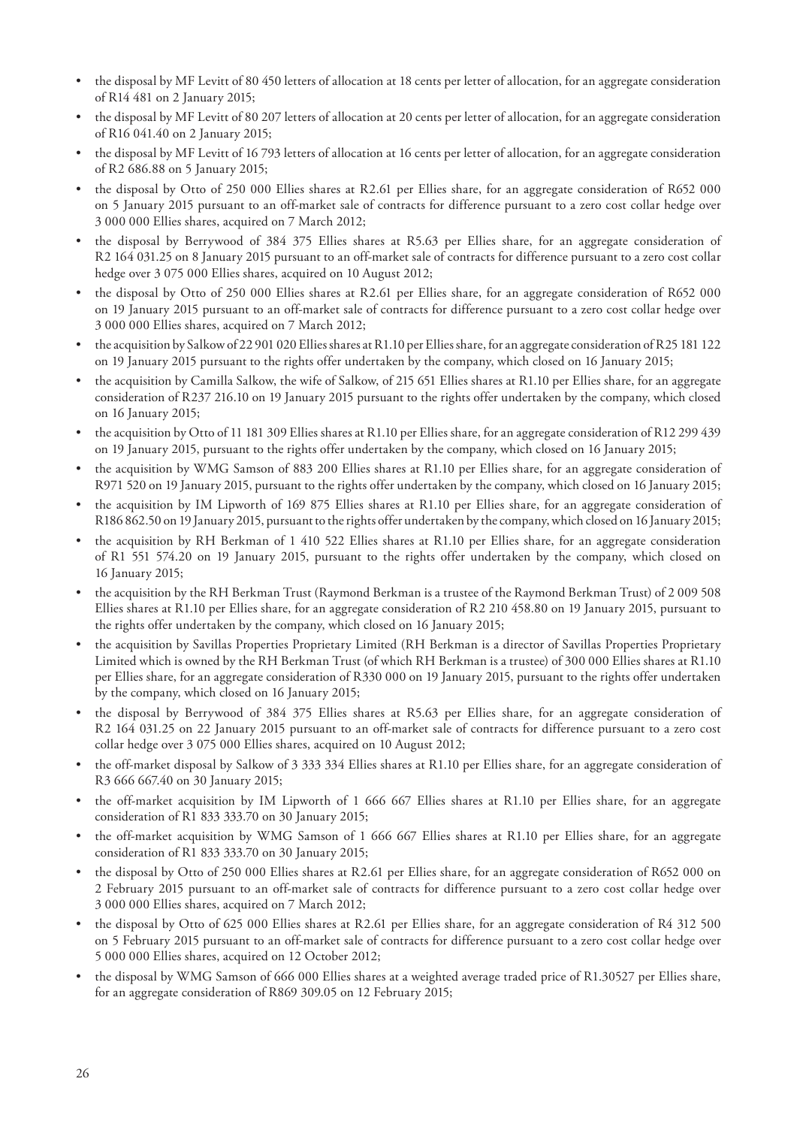- the disposal by MF Levitt of 80 450 letters of allocation at 18 cents per letter of allocation, for an aggregate consideration of R14 481 on 2 January 2015;
- the disposal by MF Levitt of 80 207 letters of allocation at 20 cents per letter of allocation, for an aggregate consideration of R16 041.40 on 2 January 2015;
- the disposal by MF Levitt of 16 793 letters of allocation at 16 cents per letter of allocation, for an aggregate consideration of R2 686.88 on 5 January 2015;
- the disposal by Otto of 250 000 Ellies shares at R2.61 per Ellies share, for an aggregate consideration of R652 000 on 5 January 2015 pursuant to an off-market sale of contracts for difference pursuant to a zero cost collar hedge over 3 000 000 Ellies shares, acquired on 7 March 2012;
- the disposal by Berrywood of 384 375 Ellies shares at R5.63 per Ellies share, for an aggregate consideration of R2 164 031.25 on 8 January 2015 pursuant to an off-market sale of contracts for difference pursuant to a zero cost collar hedge over 3 075 000 Ellies shares, acquired on 10 August 2012;
- the disposal by Otto of 250 000 Ellies shares at R2.61 per Ellies share, for an aggregate consideration of R652 000 on 19 January 2015 pursuant to an off-market sale of contracts for difference pursuant to a zero cost collar hedge over 3 000 000 Ellies shares, acquired on 7 March 2012;
- the acquisition by Salkow of 22 901 020 Ellies shares at R1.10 per Ellies share, for an aggregate consideration of R25 181 122 on 19 January 2015 pursuant to the rights offer undertaken by the company, which closed on 16 January 2015;
- the acquisition by Camilla Salkow, the wife of Salkow, of 215 651 Ellies shares at R1.10 per Ellies share, for an aggregate consideration of R237 216.10 on 19 January 2015 pursuant to the rights offer undertaken by the company, which closed on 16 January 2015;
- the acquisition by Otto of 11 181 309 Ellies shares at R1.10 per Ellies share, for an aggregate consideration of R12 299 439 on 19 January 2015, pursuant to the rights offer undertaken by the company, which closed on 16 January 2015;
- the acquisition by WMG Samson of 883 200 Ellies shares at R1.10 per Ellies share, for an aggregate consideration of R971 520 on 19 January 2015, pursuant to the rights offer undertaken by the company, which closed on 16 January 2015;
- the acquisition by IM Lipworth of 169 875 Ellies shares at R1.10 per Ellies share, for an aggregate consideration of R186 862.50 on 19 January 2015, pursuant to the rights offer undertaken by the company, which closed on 16 January 2015;
- the acquisition by RH Berkman of 1 410 522 Ellies shares at R1.10 per Ellies share, for an aggregate consideration of R1 551 574.20 on 19 January 2015, pursuant to the rights offer undertaken by the company, which closed on 16 January 2015;
- the acquisition by the RH Berkman Trust (Raymond Berkman is a trustee of the Raymond Berkman Trust) of 2 009 508 Ellies shares at R1.10 per Ellies share, for an aggregate consideration of R2 210 458.80 on 19 January 2015, pursuant to the rights offer undertaken by the company, which closed on 16 January 2015;
- the acquisition by Savillas Properties Proprietary Limited (RH Berkman is a director of Savillas Properties Proprietary Limited which is owned by the RH Berkman Trust (of which RH Berkman is a trustee) of 300 000 Ellies shares at R1.10 per Ellies share, for an aggregate consideration of R330 000 on 19 January 2015, pursuant to the rights offer undertaken by the company, which closed on 16 January 2015;
- the disposal by Berrywood of 384 375 Ellies shares at R5.63 per Ellies share, for an aggregate consideration of R2 164 031.25 on 22 January 2015 pursuant to an off-market sale of contracts for difference pursuant to a zero cost collar hedge over 3 075 000 Ellies shares, acquired on 10 August 2012;
- the off-market disposal by Salkow of 3 333 334 Ellies shares at R1.10 per Ellies share, for an aggregate consideration of R3 666 667.40 on 30 January 2015;
- the off-market acquisition by IM Lipworth of 1 666 667 Ellies shares at R1.10 per Ellies share, for an aggregate consideration of R1 833 333.70 on 30 January 2015;
- the off-market acquisition by WMG Samson of 1 666 667 Ellies shares at R1.10 per Ellies share, for an aggregate consideration of R1 833 333.70 on 30 January 2015;
- the disposal by Otto of 250 000 Ellies shares at R2.61 per Ellies share, for an aggregate consideration of R652 000 on 2 February 2015 pursuant to an off-market sale of contracts for difference pursuant to a zero cost collar hedge over 3 000 000 Ellies shares, acquired on 7 March 2012;
- the disposal by Otto of 625 000 Ellies shares at R2.61 per Ellies share, for an aggregate consideration of R4 312 500 on 5 February 2015 pursuant to an off-market sale of contracts for difference pursuant to a zero cost collar hedge over 5 000 000 Ellies shares, acquired on 12 October 2012;
- the disposal by WMG Samson of 666 000 Ellies shares at a weighted average traded price of R1.30527 per Ellies share, for an aggregate consideration of R869 309.05 on 12 February 2015;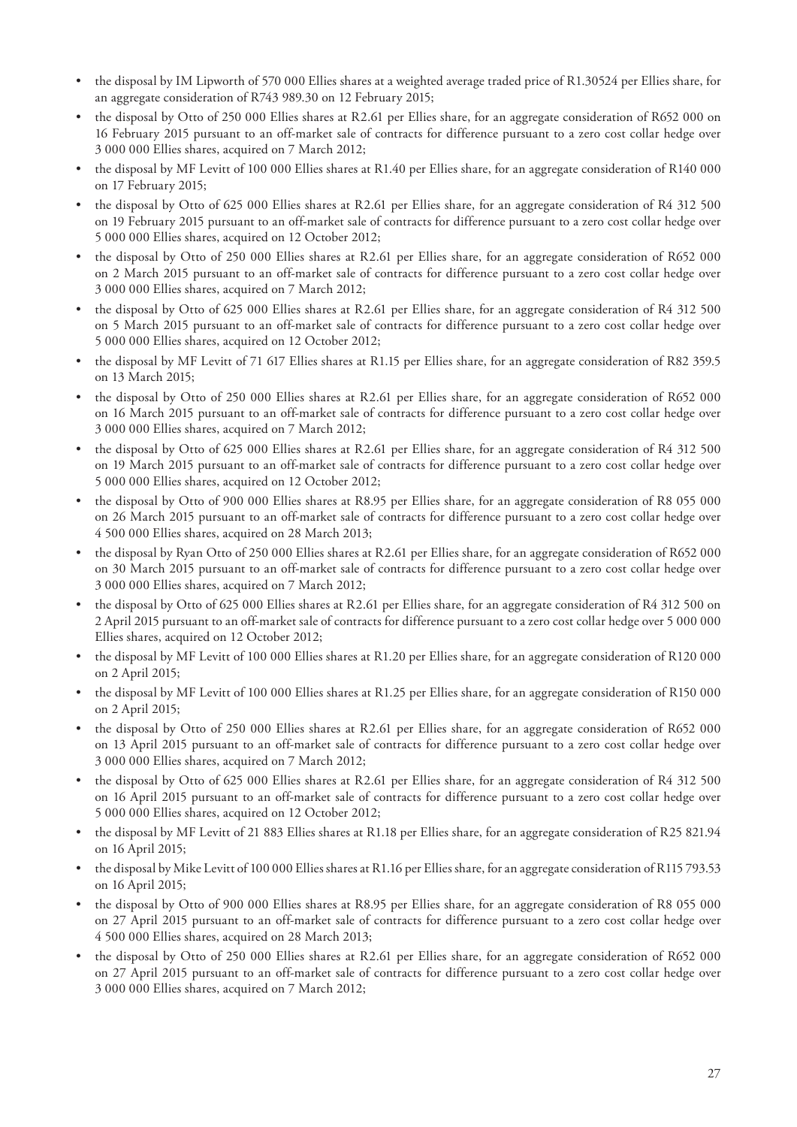- the disposal by IM Lipworth of 570 000 Ellies shares at a weighted average traded price of R1.30524 per Ellies share, for an aggregate consideration of R743 989.30 on 12 February 2015;
- the disposal by Otto of 250 000 Ellies shares at R2.61 per Ellies share, for an aggregate consideration of R652 000 on 16 February 2015 pursuant to an off-market sale of contracts for difference pursuant to a zero cost collar hedge over 3 000 000 Ellies shares, acquired on 7 March 2012;
- the disposal by MF Levitt of 100 000 Ellies shares at R1.40 per Ellies share, for an aggregate consideration of R140 000 on 17 February 2015;
- the disposal by Otto of 625 000 Ellies shares at R2.61 per Ellies share, for an aggregate consideration of R4 312 500 on 19 February 2015 pursuant to an off-market sale of contracts for difference pursuant to a zero cost collar hedge over 5 000 000 Ellies shares, acquired on 12 October 2012;
- the disposal by Otto of 250 000 Ellies shares at R2.61 per Ellies share, for an aggregate consideration of R652 000 on 2 March 2015 pursuant to an off-market sale of contracts for difference pursuant to a zero cost collar hedge over 3 000 000 Ellies shares, acquired on 7 March 2012;
- the disposal by Otto of 625 000 Ellies shares at R2.61 per Ellies share, for an aggregate consideration of R4 312 500 on 5 March 2015 pursuant to an off-market sale of contracts for difference pursuant to a zero cost collar hedge over 5 000 000 Ellies shares, acquired on 12 October 2012;
- the disposal by MF Levitt of 71 617 Ellies shares at R1.15 per Ellies share, for an aggregate consideration of R82 359.5 on 13 March 2015;
- the disposal by Otto of 250 000 Ellies shares at R2.61 per Ellies share, for an aggregate consideration of R652 000 on 16 March 2015 pursuant to an off-market sale of contracts for difference pursuant to a zero cost collar hedge over 3 000 000 Ellies shares, acquired on 7 March 2012;
- the disposal by Otto of 625 000 Ellies shares at R2.61 per Ellies share, for an aggregate consideration of R4 312 500 on 19 March 2015 pursuant to an off-market sale of contracts for difference pursuant to a zero cost collar hedge over 5 000 000 Ellies shares, acquired on 12 October 2012;
- the disposal by Otto of 900 000 Ellies shares at R8.95 per Ellies share, for an aggregate consideration of R8 055 000 on 26 March 2015 pursuant to an off-market sale of contracts for difference pursuant to a zero cost collar hedge over 4 500 000 Ellies shares, acquired on 28 March 2013;
- the disposal by Ryan Otto of 250 000 Ellies shares at R2.61 per Ellies share, for an aggregate consideration of R652 000 on 30 March 2015 pursuant to an off-market sale of contracts for difference pursuant to a zero cost collar hedge over 3 000 000 Ellies shares, acquired on 7 March 2012;
- the disposal by Otto of 625 000 Ellies shares at R2.61 per Ellies share, for an aggregate consideration of R4 312 500 on 2 April 2015 pursuant to an off-market sale of contracts for difference pursuant to a zero cost collar hedge over 5 000 000 Ellies shares, acquired on 12 October 2012;
- the disposal by MF Levitt of 100 000 Ellies shares at R1.20 per Ellies share, for an aggregate consideration of R120 000 on 2 April 2015;
- the disposal by MF Levitt of 100 000 Ellies shares at R1.25 per Ellies share, for an aggregate consideration of R150 000 on 2 April 2015;
- the disposal by Otto of 250 000 Ellies shares at R2.61 per Ellies share, for an aggregate consideration of R652 000 on 13 April 2015 pursuant to an off-market sale of contracts for difference pursuant to a zero cost collar hedge over 3 000 000 Ellies shares, acquired on 7 March 2012;
- the disposal by Otto of 625 000 Ellies shares at R2.61 per Ellies share, for an aggregate consideration of R4 312 500 on 16 April 2015 pursuant to an off-market sale of contracts for difference pursuant to a zero cost collar hedge over 5 000 000 Ellies shares, acquired on 12 October 2012;
- the disposal by MF Levitt of 21 883 Ellies shares at R1.18 per Ellies share, for an aggregate consideration of R25 821.94 on 16 April 2015;
- the disposal by Mike Levitt of 100 000 Ellies shares at R1.16 per Ellies share, for an aggregate consideration of R115 793.53 on 16 April 2015;
- the disposal by Otto of 900 000 Ellies shares at R8.95 per Ellies share, for an aggregate consideration of R8 055 000 on 27 April 2015 pursuant to an off-market sale of contracts for difference pursuant to a zero cost collar hedge over 4 500 000 Ellies shares, acquired on 28 March 2013;
- the disposal by Otto of 250 000 Ellies shares at R2.61 per Ellies share, for an aggregate consideration of R652 000 on 27 April 2015 pursuant to an off-market sale of contracts for difference pursuant to a zero cost collar hedge over 3 000 000 Ellies shares, acquired on 7 March 2012;